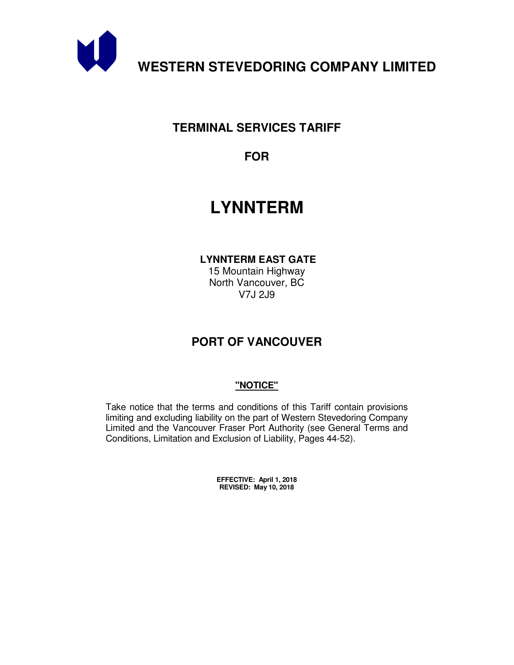

# **TERMINAL SERVICES TARIFF**

**FOR** 

# **LYNNTERM**

 **LYNNTERM EAST GATE** 

15 Mountain Highway North Vancouver, BC V7J 2J9

# **PORT OF VANCOUVER**

# **"NOTICE"**

Take notice that the terms and conditions of this Tariff contain provisions limiting and excluding liability on the part of Western Stevedoring Company Limited and the Vancouver Fraser Port Authority (see General Terms and Conditions, Limitation and Exclusion of Liability, Pages 44-52).

> **EFFECTIVE: April 1, 2018 REVISED: May 10, 2018**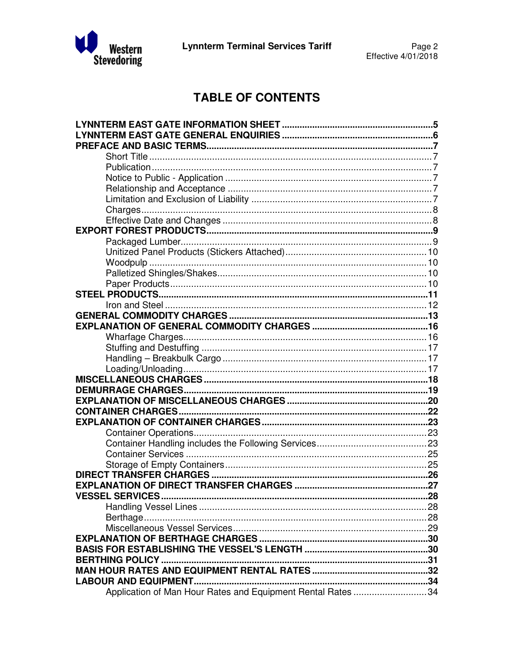

# **TABLE OF CONTENTS**

| <b>VESSEL SERVICES</b>                                      |  |
|-------------------------------------------------------------|--|
|                                                             |  |
|                                                             |  |
|                                                             |  |
|                                                             |  |
|                                                             |  |
|                                                             |  |
|                                                             |  |
|                                                             |  |
| Application of Man Hour Rates and Equipment Rental Rates 34 |  |
|                                                             |  |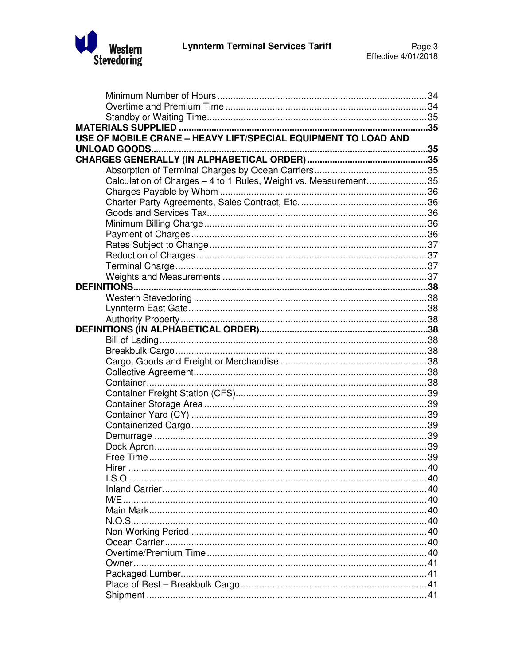

| USE OF MOBILE CRANE - HEAVY LIFT/SPECIAL EQUIPMENT TO LOAD AND  |  |
|-----------------------------------------------------------------|--|
|                                                                 |  |
|                                                                 |  |
|                                                                 |  |
| Calculation of Charges - 4 to 1 Rules, Weight vs. Measurement35 |  |
|                                                                 |  |
|                                                                 |  |
|                                                                 |  |
|                                                                 |  |
|                                                                 |  |
|                                                                 |  |
|                                                                 |  |
|                                                                 |  |
|                                                                 |  |
|                                                                 |  |
|                                                                 |  |
|                                                                 |  |
|                                                                 |  |
|                                                                 |  |
|                                                                 |  |
|                                                                 |  |
|                                                                 |  |
|                                                                 |  |
|                                                                 |  |
|                                                                 |  |
|                                                                 |  |
|                                                                 |  |
|                                                                 |  |
|                                                                 |  |
|                                                                 |  |
|                                                                 |  |
| 40<br>Hirer                                                     |  |
|                                                                 |  |
|                                                                 |  |
|                                                                 |  |
|                                                                 |  |
|                                                                 |  |
|                                                                 |  |
|                                                                 |  |
|                                                                 |  |
|                                                                 |  |
|                                                                 |  |
|                                                                 |  |
|                                                                 |  |
|                                                                 |  |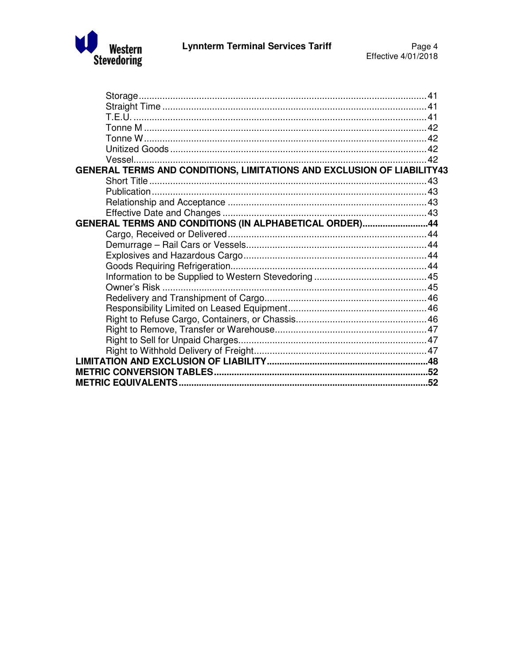

| GENERAL TERMS AND CONDITIONS, LIMITATIONS AND EXCLUSION OF LIABILITY43 |  |
|------------------------------------------------------------------------|--|
|                                                                        |  |
|                                                                        |  |
|                                                                        |  |
|                                                                        |  |
| GENERAL TERMS AND CONDITIONS (IN ALPHABETICAL ORDER)44                 |  |
|                                                                        |  |
|                                                                        |  |
|                                                                        |  |
|                                                                        |  |
|                                                                        |  |
|                                                                        |  |
|                                                                        |  |
|                                                                        |  |
|                                                                        |  |
|                                                                        |  |
|                                                                        |  |
|                                                                        |  |
|                                                                        |  |
|                                                                        |  |
|                                                                        |  |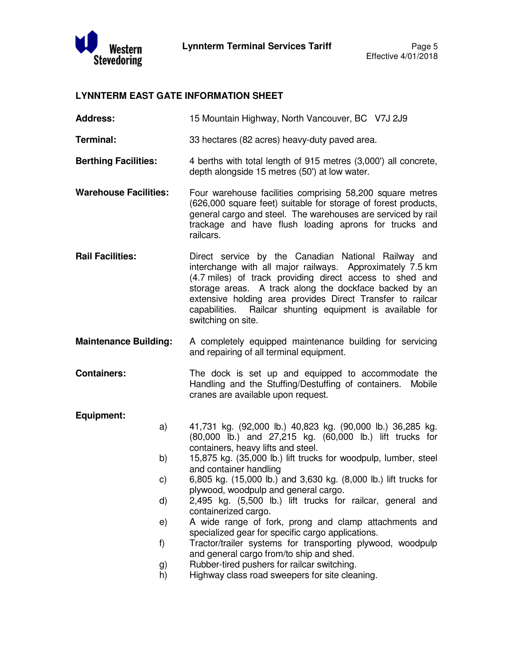

#### **LYNNTERM EAST GATE INFORMATION SHEET**

**Address:** 15 Mountain Highway, North Vancouver, BC V7J 2J9

**Terminal:** 33 hectares (82 acres) heavy-duty paved area.

- **Berthing Facilities:** 4 berths with total length of 915 metres (3,000') all concrete, depth alongside 15 metres (50') at low water.
- **Warehouse Facilities:** Four warehouse facilities comprising 58,200 square metres (626,000 square feet) suitable for storage of forest products, general cargo and steel. The warehouses are serviced by rail trackage and have flush loading aprons for trucks and railcars.
- **Rail Facilities:** Direct service by the Canadian National Railway and interchange with all major railways. Approximately 7.5 km (4.7 miles) of track providing direct access to shed and storage areas. A track along the dockface backed by an extensive holding area provides Direct Transfer to railcar capabilities. Railcar shunting equipment is available for switching on site.
- **Maintenance Building:** A completely equipped maintenance building for servicing and repairing of all terminal equipment.
- **Containers:** The dock is set up and equipped to accommodate the Handling and the Stuffing/Destuffing of containers. Mobile cranes are available upon request.

#### **Equipment:**

- a) 41,731 kg. (92,000 lb.) 40,823 kg. (90,000 lb.) 36,285 kg. (80,000 lb.) and 27,215 kg. (60,000 lb.) lift trucks for containers, heavy lifts and steel.
	- b) 15,875 kg. (35,000 lb.) lift trucks for woodpulp, lumber, steel and container handling
	- c) 6,805 kg. (15,000 lb.) and 3,630 kg. (8,000 lb.) lift trucks for plywood, woodpulp and general cargo.
	- d) 2,495 kg. (5,500 lb.) lift trucks for railcar, general and containerized cargo.
	- e) A wide range of fork, prong and clamp attachments and specialized gear for specific cargo applications.
	- f) Tractor/trailer systems for transporting plywood, woodpulp and general cargo from/to ship and shed.
	- g) Rubber-tired pushers for railcar switching.
	- h) Highway class road sweepers for site cleaning.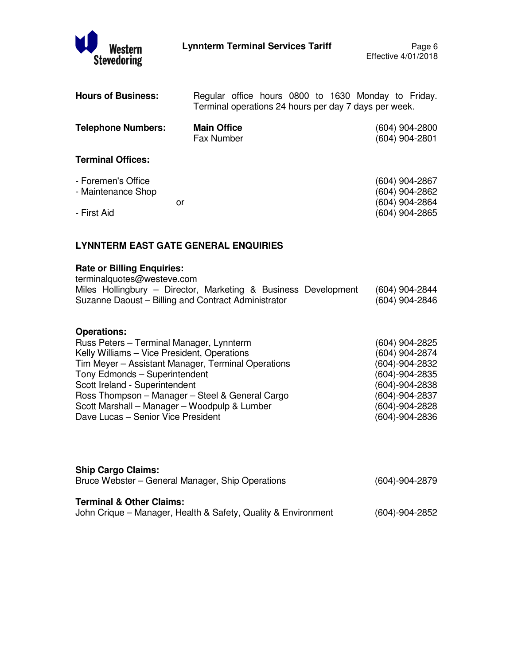| <b>Hours of Business:</b>                               |                                         | Regular office hours 0800 to 1630 Monday to Friday.<br>Terminal operations 24 hours per day 7 days per week. |
|---------------------------------------------------------|-----------------------------------------|--------------------------------------------------------------------------------------------------------------|
| <b>Telephone Numbers:</b>                               | <b>Main Office</b><br><b>Fax Number</b> | (604) 904-2800<br>(604) 904-2801                                                                             |
| <b>Terminal Offices:</b>                                |                                         |                                                                                                              |
| - Foremen's Office<br>- Maintenance Shop<br>- First Aid | or                                      | (604) 904-2867<br>(604) 904-2862<br>(604) 904-2864<br>(604) 904-2865                                         |

# **LYNNTERM EAST GATE GENERAL ENQUIRIES**

# **Rate or Billing Enquiries:**

| terminalquotes@westeve.com                                     |                |
|----------------------------------------------------------------|----------------|
| Miles Hollingbury – Director, Marketing & Business Development | (604) 904-2844 |
| Suzanne Daoust – Billing and Contract Administrator            | (604) 904-2846 |

# **Operations:**

| Russ Peters - Terminal Manager, Lynnterm           | (604) 904-2825       |
|----------------------------------------------------|----------------------|
| Kelly Williams - Vice President, Operations        | (604) 904-2874       |
| Tim Meyer - Assistant Manager, Terminal Operations | (604)-904-2832       |
| Tony Edmonds - Superintendent                      | $(604) - 904 - 2835$ |
| Scott Ireland - Superintendent                     | $(604) - 904 - 2838$ |
| Ross Thompson - Manager - Steel & General Cargo    | (604)-904-2837       |
| Scott Marshall – Manager – Woodpulp & Lumber       | $(604) - 904 - 2828$ |
| Dave Lucas - Senior Vice President                 | $(604) - 904 - 2836$ |
|                                                    |                      |

| <b>Ship Cargo Claims:</b><br>Bruce Webster – General Manager, Ship Operations                        | $(604) - 904 - 2879$ |
|------------------------------------------------------------------------------------------------------|----------------------|
| <b>Terminal &amp; Other Claims:</b><br>John Crique – Manager, Health & Safety, Quality & Environment | $(604) - 904 - 2852$ |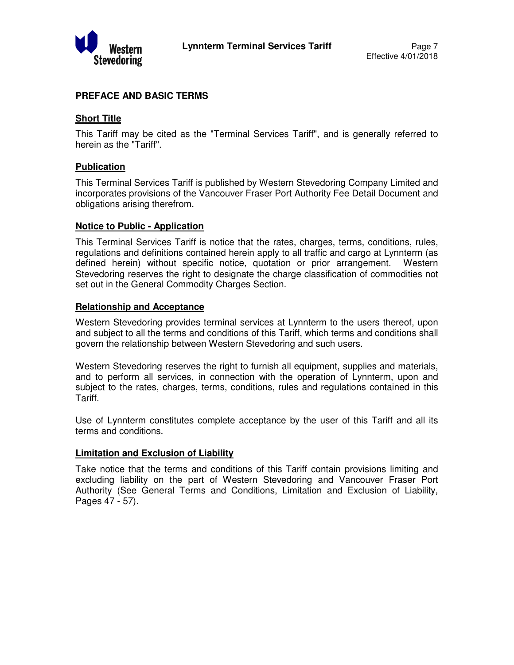

#### **PREFACE AND BASIC TERMS**

#### **Short Title**

This Tariff may be cited as the "Terminal Services Tariff", and is generally referred to herein as the "Tariff".

#### **Publication**

This Terminal Services Tariff is published by Western Stevedoring Company Limited and incorporates provisions of the Vancouver Fraser Port Authority Fee Detail Document and obligations arising therefrom.

#### **Notice to Public - Application**

This Terminal Services Tariff is notice that the rates, charges, terms, conditions, rules, regulations and definitions contained herein apply to all traffic and cargo at Lynnterm (as defined herein) without specific notice, quotation or prior arrangement. Western Stevedoring reserves the right to designate the charge classification of commodities not set out in the General Commodity Charges Section.

#### **Relationship and Acceptance**

Western Stevedoring provides terminal services at Lynnterm to the users thereof, upon and subject to all the terms and conditions of this Tariff, which terms and conditions shall govern the relationship between Western Stevedoring and such users.

Western Stevedoring reserves the right to furnish all equipment, supplies and materials, and to perform all services, in connection with the operation of Lynnterm, upon and subject to the rates, charges, terms, conditions, rules and regulations contained in this Tariff.

Use of Lynnterm constitutes complete acceptance by the user of this Tariff and all its terms and conditions.

#### **Limitation and Exclusion of Liability**

Take notice that the terms and conditions of this Tariff contain provisions limiting and excluding liability on the part of Western Stevedoring and Vancouver Fraser Port Authority (See General Terms and Conditions, Limitation and Exclusion of Liability, Pages 47 - 57).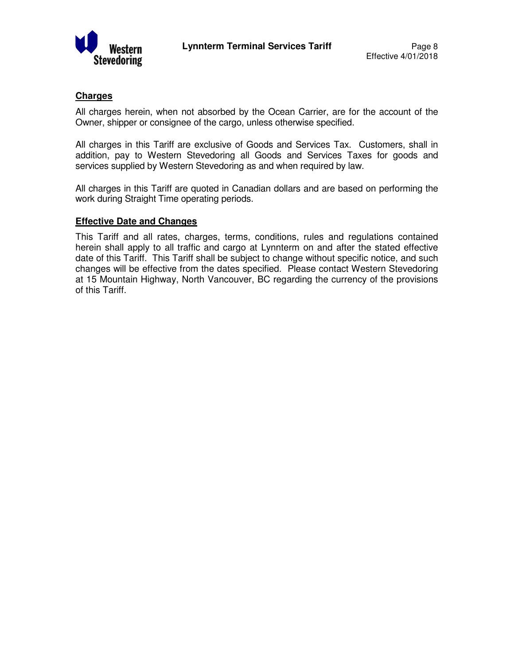

#### **Charges**

All charges herein, when not absorbed by the Ocean Carrier, are for the account of the Owner, shipper or consignee of the cargo, unless otherwise specified.

All charges in this Tariff are exclusive of Goods and Services Tax. Customers, shall in addition, pay to Western Stevedoring all Goods and Services Taxes for goods and services supplied by Western Stevedoring as and when required by law.

All charges in this Tariff are quoted in Canadian dollars and are based on performing the work during Straight Time operating periods.

#### **Effective Date and Changes**

This Tariff and all rates, charges, terms, conditions, rules and regulations contained herein shall apply to all traffic and cargo at Lynnterm on and after the stated effective date of this Tariff. This Tariff shall be subject to change without specific notice, and such changes will be effective from the dates specified. Please contact Western Stevedoring at 15 Mountain Highway, North Vancouver, BC regarding the currency of the provisions of this Tariff.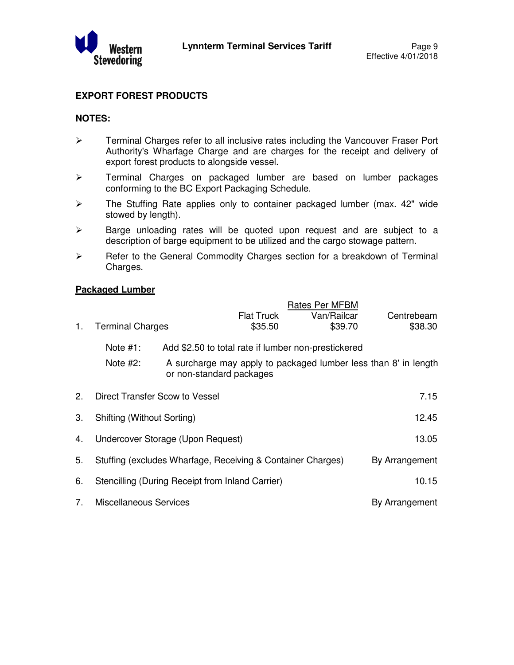

## **EXPORT FOREST PRODUCTS**

#### **NOTES:**

- $\triangleright$  Terminal Charges refer to all inclusive rates including the Vancouver Fraser Port Authority's Wharfage Charge and are charges for the receipt and delivery of export forest products to alongside vessel.
- > Terminal Charges on packaged lumber are based on lumber packages conforming to the BC Export Packaging Schedule.
- > The Stuffing Rate applies only to container packaged lumber (max. 42" wide stowed by length).
- $\triangleright$  Barge unloading rates will be quoted upon request and are subject to a description of barge equipment to be utilized and the cargo stowage pattern.
- $\triangleright$  Refer to the General Commodity Charges section for a breakdown of Terminal Charges.

#### **Packaged Lumber**

| 1.             | <b>Terminal Charges</b>       |                                                             | <b>Flat Truck</b><br>\$35.50 | Rates Per MFBM<br>Van/Railcar<br>\$39.70                        | Centrebeam<br>\$38.30 |
|----------------|-------------------------------|-------------------------------------------------------------|------------------------------|-----------------------------------------------------------------|-----------------------|
|                | Note $#1$ :                   | Add \$2.50 to total rate if lumber non-prestickered         |                              |                                                                 |                       |
|                | Note $#2$ :                   | or non-standard packages                                    |                              | A surcharge may apply to packaged lumber less than 8' in length |                       |
| 2.             |                               | Direct Transfer Scow to Vessel                              |                              |                                                                 | 7.15                  |
| 3.             | Shifting (Without Sorting)    |                                                             |                              |                                                                 | 12.45                 |
| 4.             |                               | Undercover Storage (Upon Request)                           |                              |                                                                 | 13.05                 |
| 5.             |                               | Stuffing (excludes Wharfage, Receiving & Container Charges) |                              |                                                                 | By Arrangement        |
| 6.             |                               | Stencilling (During Receipt from Inland Carrier)            |                              |                                                                 | 10.15                 |
| 7 <sub>1</sub> | <b>Miscellaneous Services</b> |                                                             |                              |                                                                 | By Arrangement        |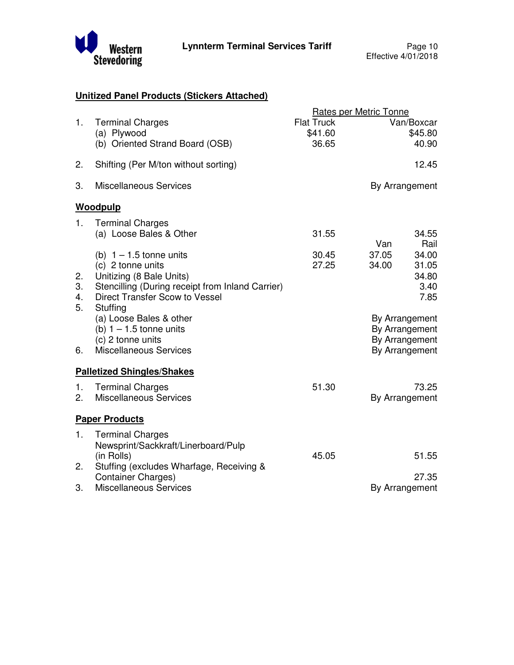

# **Unitized Panel Products (Stickers Attached)**

|                      |                                                                                                                                                                              |                                       | <b>Rates per Metric Tonne</b>                                        |
|----------------------|------------------------------------------------------------------------------------------------------------------------------------------------------------------------------|---------------------------------------|----------------------------------------------------------------------|
| 1.                   | <b>Terminal Charges</b><br>(a) Plywood<br>(b) Oriented Strand Board (OSB)                                                                                                    | <b>Flat Truck</b><br>\$41.60<br>36.65 | Van/Boxcar<br>\$45.80<br>40.90                                       |
| 2.                   | Shifting (Per M/ton without sorting)                                                                                                                                         |                                       | 12.45                                                                |
| 3.                   | <b>Miscellaneous Services</b>                                                                                                                                                |                                       | By Arrangement                                                       |
|                      | Woodpulp                                                                                                                                                                     |                                       |                                                                      |
| 1 <sub>1</sub>       | <b>Terminal Charges</b><br>(a) Loose Bales & Other                                                                                                                           | 31.55                                 | 34.55<br>Van<br>Rail                                                 |
| 2.<br>3.<br>4.<br>5. | (b) $1 - 1.5$ tonne units<br>(c) 2 tonne units<br>Unitizing (8 Bale Units)<br>Stencilling (During receipt from Inland Carrier)<br>Direct Transfer Scow to Vessel<br>Stuffing | 30.45<br>27.25                        | 37.05<br>34.00<br>31.05<br>34.00<br>34.80<br>3.40<br>7.85            |
| 6.                   | (a) Loose Bales & other<br>(b) $1 - 1.5$ tonne units<br>(c) 2 tonne units<br><b>Miscellaneous Services</b>                                                                   |                                       | By Arrangement<br>By Arrangement<br>By Arrangement<br>By Arrangement |
|                      | <b>Palletized Shingles/Shakes</b>                                                                                                                                            |                                       |                                                                      |
| 1.<br>2.             | <b>Terminal Charges</b><br><b>Miscellaneous Services</b>                                                                                                                     | 51.30                                 | 73.25<br>By Arrangement                                              |
|                      | <b>Paper Products</b>                                                                                                                                                        |                                       |                                                                      |
| 1.<br>2.             | <b>Terminal Charges</b><br>Newsprint/Sackkraft/Linerboard/Pulp<br>(in Rolls)<br>Stuffing (excludes Wharfage, Receiving &                                                     | 45.05                                 | 51.55                                                                |
| 3.                   | <b>Container Charges)</b><br><b>Miscellaneous Services</b>                                                                                                                   |                                       | 27.35<br>By Arrangement                                              |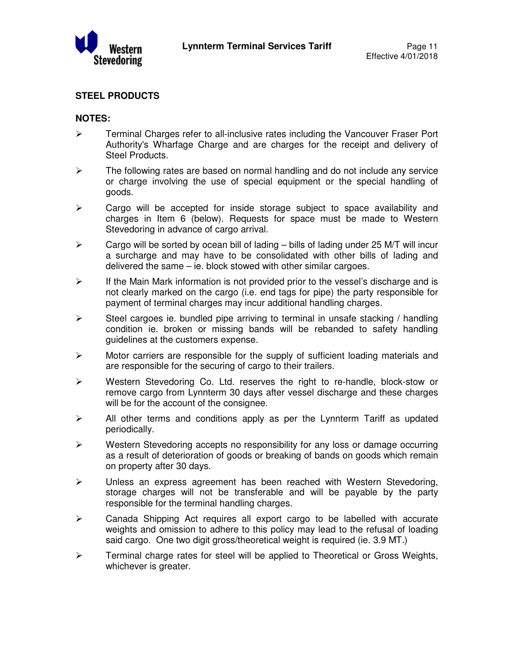

## **STEEL PRODUCTS**

#### **NOTES:**

- $\triangleright$  Terminal Charges refer to all-inclusive rates including the Vancouver Fraser Port Authority's Wharfage Charge and are charges for the receipt and delivery of Steel Products.
- $\triangleright$  The following rates are based on normal handling and do not include any service or charge involving the use of special equipment or the special handling of goods.
- $\triangleright$  Cargo will be accepted for inside storage subject to space availability and charges in Item 6 (below). Requests for space must be made to Western Stevedoring in advance of cargo arrival.
- $\triangleright$  Cargo will be sorted by ocean bill of lading bills of lading under 25 M/T will incur a surcharge and may have to be consolidated with other bills of lading and delivered the same – ie. block stowed with other similar cargoes.
- $\triangleright$  If the Main Mark information is not provided prior to the vessel's discharge and is not clearly marked on the cargo (i.e. end tags for pipe) the party responsible for payment of terminal charges may incur additional handling charges.
- $\triangleright$  Steel cargoes ie. bundled pipe arriving to terminal in unsafe stacking / handling condition ie. broken or missing bands will be rebanded to safety handling guidelines at the customers expense.
- $\triangleright$  Motor carriers are responsible for the supply of sufficient loading materials and are responsible for the securing of cargo to their trailers.
- Western Stevedoring Co. Ltd. reserves the right to re-handle, block-stow or remove cargo from Lynnterm 30 days after vessel discharge and these charges will be for the account of the consignee.
- $\triangleright$  All other terms and conditions apply as per the Lynnterm Tariff as updated periodically.
- $\triangleright$  Western Stevedoring accepts no responsibility for any loss or damage occurring as a result of deterioration of goods or breaking of bands on goods which remain on property after 30 days.
- $\triangleright$  Unless an express agreement has been reached with Western Stevedoring, storage charges will not be transferable and will be payable by the party responsible for the terminal handling charges.
- $\triangleright$  Canada Shipping Act requires all export cargo to be labelled with accurate weights and omission to adhere to this policy may lead to the refusal of loading said cargo. One two digit gross/theoretical weight is required (ie. 3.9 MT.)
- $\triangleright$  Terminal charge rates for steel will be applied to Theoretical or Gross Weights, whichever is greater.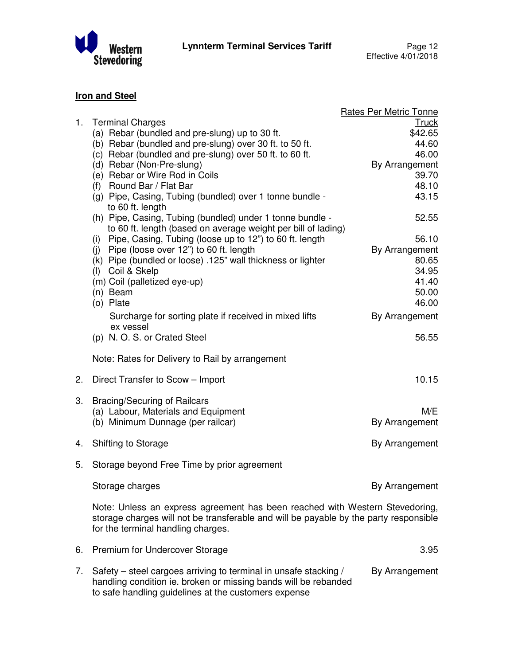

# **Iron and Steel**

|    |                                                                                                                                                                                                                                                                                                                                                                            | <b>Rates Per Metric Tonne</b>                                                          |
|----|----------------------------------------------------------------------------------------------------------------------------------------------------------------------------------------------------------------------------------------------------------------------------------------------------------------------------------------------------------------------------|----------------------------------------------------------------------------------------|
| 1. | <b>Terminal Charges</b><br>(a) Rebar (bundled and pre-slung) up to 30 ft.<br>(b) Rebar (bundled and pre-slung) over 30 ft. to 50 ft.<br>(c) Rebar (bundled and pre-slung) over 50 ft. to 60 ft.<br>(d) Rebar (Non-Pre-slung)<br>(e) Rebar or Wire Rod in Coils<br>(f) Round Bar / Flat Bar<br>(g) Pipe, Casing, Tubing (bundled) over 1 tonne bundle -<br>to 60 ft. length | <u>Truck</u><br>\$42.65<br>44.60<br>46.00<br>By Arrangement<br>39.70<br>48.10<br>43.15 |
|    | (h) Pipe, Casing, Tubing (bundled) under 1 tonne bundle -<br>to 60 ft. length (based on average weight per bill of lading)<br>(i) Pipe, Casing, Tubing (loose up to 12") to 60 ft. length<br>(j) Pipe (loose over 12") to 60 ft. length<br>(k) Pipe (bundled or loose) .125" wall thickness or lighter<br>(I) Coil & Skelp                                                 | 52.55<br>56.10<br>By Arrangement<br>80.65<br>34.95                                     |
|    | (m) Coil (palletized eye-up)<br>(n) Beam<br>(o) Plate<br>Surcharge for sorting plate if received in mixed lifts<br>ex vessel                                                                                                                                                                                                                                               | 41.40<br>50.00<br>46.00<br>By Arrangement                                              |
|    | (p) N.O.S. or Crated Steel                                                                                                                                                                                                                                                                                                                                                 | 56.55                                                                                  |
|    | Note: Rates for Delivery to Rail by arrangement                                                                                                                                                                                                                                                                                                                            |                                                                                        |
| 2. | Direct Transfer to Scow - Import                                                                                                                                                                                                                                                                                                                                           | 10.15                                                                                  |
| 3. | <b>Bracing/Securing of Railcars</b><br>(a) Labour, Materials and Equipment<br>(b) Minimum Dunnage (per railcar)                                                                                                                                                                                                                                                            | M/E<br>By Arrangement                                                                  |
| 4. | <b>Shifting to Storage</b>                                                                                                                                                                                                                                                                                                                                                 | By Arrangement                                                                         |
| 5. | Storage beyond Free Time by prior agreement                                                                                                                                                                                                                                                                                                                                |                                                                                        |
|    | Storage charges                                                                                                                                                                                                                                                                                                                                                            | By Arrangement                                                                         |
|    | Note: Unless an express agreement has been reached with Western Stevedoring,<br>storage charges will not be transferable and will be payable by the party responsible<br>for the terminal handling charges.                                                                                                                                                                |                                                                                        |
| 6. | Premium for Undercover Storage                                                                                                                                                                                                                                                                                                                                             | 3.95                                                                                   |
| 7. | Safety – steel cargoes arriving to terminal in unsafe stacking /<br>handling condition ie. broken or missing bands will be rebanded<br>to safe handling guidelines at the customers expense                                                                                                                                                                                | By Arrangement                                                                         |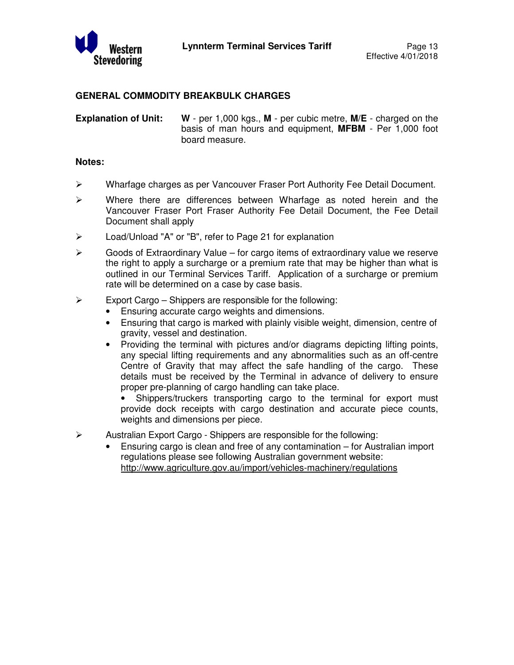

#### **GENERAL COMMODITY BREAKBULK CHARGES**

**Explanation of Unit: W** - per 1,000 kgs., **M** - per cubic metre, **M/E** - charged on the basis of man hours and equipment, **MFBM** - Per 1,000 foot board measure.

#### **Notes:**

- Wharfage charges as per Vancouver Fraser Port Authority Fee Detail Document.
- $\triangleright$  Where there are differences between Wharfage as noted herein and the Vancouver Fraser Port Fraser Authority Fee Detail Document, the Fee Detail Document shall apply
- Load/Unload "A" or "B", refer to Page 21 for explanation
- $\triangleright$  Goods of Extraordinary Value for cargo items of extraordinary value we reserve the right to apply a surcharge or a premium rate that may be higher than what is outlined in our Terminal Services Tariff. Application of a surcharge or premium rate will be determined on a case by case basis.
- $\triangleright$  Export Cargo Shippers are responsible for the following:
	- Ensuring accurate cargo weights and dimensions.
	- Ensuring that cargo is marked with plainly visible weight, dimension, centre of gravity, vessel and destination.
	- Providing the terminal with pictures and/or diagrams depicting lifting points, any special lifting requirements and any abnormalities such as an off-centre Centre of Gravity that may affect the safe handling of the cargo. These details must be received by the Terminal in advance of delivery to ensure proper pre-planning of cargo handling can take place.

Shippers/truckers transporting cargo to the terminal for export must provide dock receipts with cargo destination and accurate piece counts, weights and dimensions per piece.

- $\triangleright$  Australian Export Cargo Shippers are responsible for the following:
	- Ensuring cargo is clean and free of any contamination for Australian import regulations please see following Australian government website: http://www.agriculture.gov.au/import/vehicles-machinery/regulations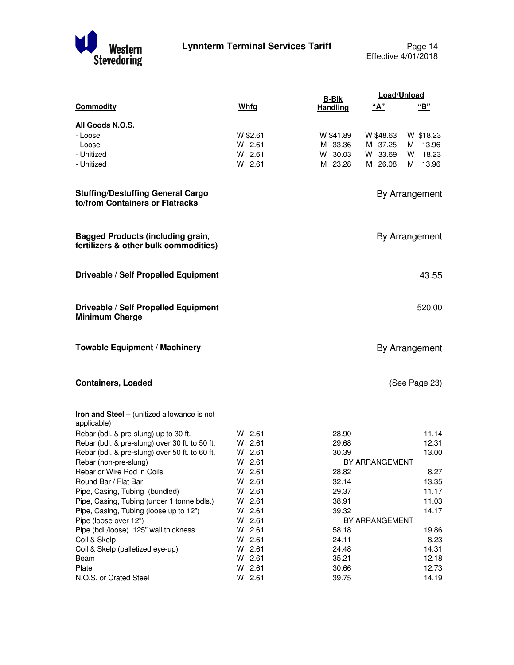

Page 14<br>Effective 4/01/2018

|                                                                                   |                  | <b>B-Blk</b>                  | Load/Unload            |
|-----------------------------------------------------------------------------------|------------------|-------------------------------|------------------------|
| <b>Commodity</b>                                                                  | Whfg             | <u>"A"</u><br><b>Handling</b> | "В"                    |
| All Goods N.O.S.                                                                  |                  |                               |                        |
| - Loose                                                                           | W \$2.61         | W \$41.89                     | W \$48.63<br>W \$18.23 |
| - Loose                                                                           | $W$ 2.61         | M 33.36                       | M 37.25<br>13.96<br>м  |
| - Unitized                                                                        | $W$ 2.61         | W 30.03                       | W 33.69<br>18.23<br>W  |
| - Unitized                                                                        | W 2.61           | M 23.28                       | M 26.08<br>13.96<br>м  |
| <b>Stuffing/Destuffing General Cargo</b><br>to/from Containers or Flatracks       |                  |                               | By Arrangement         |
| <b>Bagged Products (including grain,</b><br>fertilizers & other bulk commodities) |                  |                               | By Arrangement         |
| Driveable / Self Propelled Equipment                                              |                  |                               | 43.55                  |
| Driveable / Self Propelled Equipment<br><b>Minimum Charge</b>                     |                  |                               | 520.00                 |
| <b>Towable Equipment / Machinery</b>                                              |                  |                               | By Arrangement         |
| <b>Containers, Loaded</b>                                                         |                  |                               | (See Page 23)          |
| <b>Iron and Steel</b> $-$ (unitized allowance is not<br>applicable)               |                  |                               |                        |
| Rebar (bdl. & pre-slung) up to 30 ft.                                             | $W$ 2.61         | 28.90                         | 11.14                  |
| Rebar (bdl. & pre-slung) over 30 ft. to 50 ft.                                    | W 2.61           | 29.68                         | 12.31                  |
| Rebar (bdl. & pre-slung) over 50 ft. to 60 ft.                                    | $W$ 2.61         | 30.39                         | 13.00                  |
| Rebar (non-pre-slung)<br>Rebar or Wire Rod in Coils                               | W 2.61<br>W 2.61 | BY ARRANGEMENT<br>28.82       | 8.27                   |
| Round Bar / Flat Bar                                                              | W 2.61           | 32.14                         | 13.35                  |
| Pipe, Casing, Tubing (bundled)                                                    | W 2.61           | 29.37                         | 11.17                  |
| Pipe, Casing, Tubing (under 1 tonne bdls.)                                        | W 2.61           | 38.91                         | 11.03                  |
| Pipe, Casing, Tubing (loose up to 12")                                            | W 2.61           | 39.32                         | 14.17                  |
| Pipe (loose over 12")                                                             | W 2.61           | BY ARRANGEMENT                |                        |
| Pipe (bdl./loose) .125" wall thickness                                            | W 2.61           | 58.18                         | 19.86                  |
| Coil & Skelp                                                                      | W 2.61           | 24.11                         | 8.23                   |
| Coil & Skelp (palletized eye-up)                                                  | W 2.61           | 24.48                         | 14.31                  |
| Beam                                                                              | W 2.61           | 35.21                         | 12.18                  |
| Plate                                                                             | W 2.61           | 30.66                         | 12.73                  |
| N.O.S. or Crated Steel                                                            | W 2.61           | 39.75                         | 14.19                  |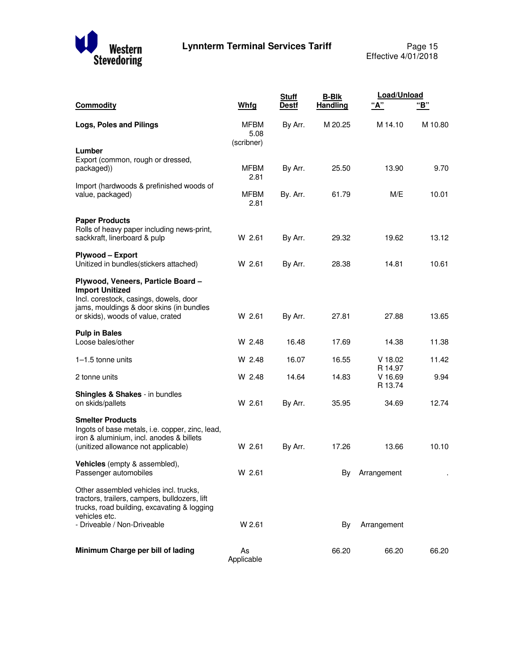

|                                                                                                                                                                                         |                                   | <b>Stuff</b> | <b>B-Blk</b>    | Load/Unload                     |         |
|-----------------------------------------------------------------------------------------------------------------------------------------------------------------------------------------|-----------------------------------|--------------|-----------------|---------------------------------|---------|
| <b>Commodity</b>                                                                                                                                                                        | Whfg                              | <b>Destf</b> | <b>Handling</b> | <u>"A"</u>                      | "В"     |
| Logs, Poles and Pilings                                                                                                                                                                 | <b>MFBM</b><br>5.08<br>(scribner) | By Arr.      | M 20.25         | M 14.10                         | M 10.80 |
| Lumber<br>Export (common, rough or dressed,<br>packaged))                                                                                                                               | <b>MFBM</b><br>2.81               | By Arr.      | 25.50           | 13.90                           | 9.70    |
| Import (hardwoods & prefinished woods of<br>value, packaged)                                                                                                                            | <b>MFBM</b><br>2.81               | By. Arr.     | 61.79           | M/E                             | 10.01   |
| <b>Paper Products</b><br>Rolls of heavy paper including news-print,<br>sackkraft, linerboard & pulp                                                                                     | W 2.61                            | By Arr.      | 29.32           | 19.62                           | 13.12   |
| Plywood - Export<br>Unitized in bundles(stickers attached)                                                                                                                              | W 2.61                            | By Arr.      | 28.38           | 14.81                           | 10.61   |
| Plywood, Veneers, Particle Board -<br><b>Import Unitized</b><br>Incl. corestock, casings, dowels, door<br>jams, mouldings & door skins (in bundles<br>or skids), woods of value, crated | W 2.61                            | By Arr.      | 27.81           | 27.88                           | 13.65   |
| <b>Pulp in Bales</b><br>Loose bales/other                                                                                                                                               | W 2.48                            | 16.48        | 17.69           | 14.38                           | 11.38   |
| $1-1.5$ tonne units                                                                                                                                                                     | W 2.48                            | 16.07        | 16.55           | $V$ 18.02                       | 11.42   |
| 2 tonne units                                                                                                                                                                           | W 2.48                            | 14.64        | 14.83           | R 14.97<br>$V$ 16.69<br>R 13.74 | 9.94    |
| <b>Shingles &amp; Shakes</b> - in bundles<br>on skids/pallets                                                                                                                           | W 2.61                            | By Arr.      | 35.95           | 34.69                           | 12.74   |
| <b>Smelter Products</b><br>Ingots of base metals, i.e. copper, zinc, lead,<br>iron & aluminium, incl. anodes & billets<br>(unitized allowance not applicable)                           | W 2.61                            | By Arr.      | 17.26           | 13.66                           | 10.10   |
| Vehicles (empty & assembled),<br>Passenger automobiles                                                                                                                                  | W 2.61                            |              | By              | Arrangement                     |         |
| Other assembled vehicles incl. trucks,<br>tractors, trailers, campers, bulldozers, lift<br>trucks, road building, excavating & logging<br>vehicles etc.                                 |                                   |              |                 |                                 |         |
| - Driveable / Non-Driveable                                                                                                                                                             | W 2.61                            |              | By              | Arrangement                     |         |
| Minimum Charge per bill of lading                                                                                                                                                       | As<br>Applicable                  |              | 66.20           | 66.20                           | 66.20   |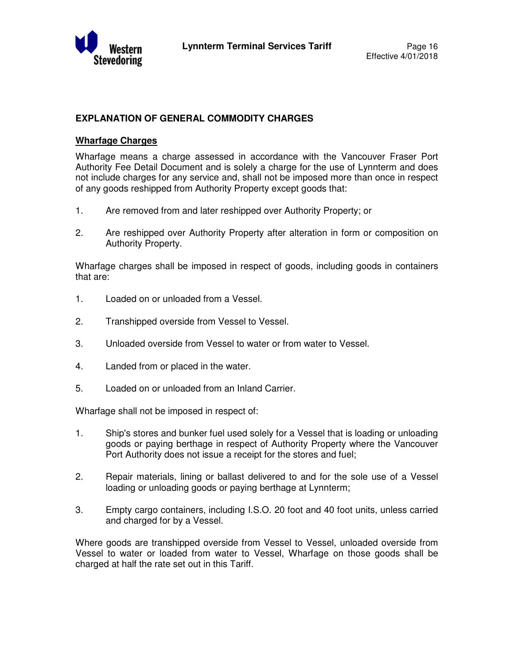

# **EXPLANATION OF GENERAL COMMODITY CHARGES**

#### **Wharfage Charges**

Wharfage means a charge assessed in accordance with the Vancouver Fraser Port Authority Fee Detail Document and is solely a charge for the use of Lynnterm and does not include charges for any service and, shall not be imposed more than once in respect of any goods reshipped from Authority Property except goods that:

- 1. Are removed from and later reshipped over Authority Property; or
- 2. Are reshipped over Authority Property after alteration in form or composition on Authority Property.

Wharfage charges shall be imposed in respect of goods, including goods in containers that are:

- 1. Loaded on or unloaded from a Vessel.
- 2. Transhipped overside from Vessel to Vessel.
- 3. Unloaded overside from Vessel to water or from water to Vessel.
- 4. Landed from or placed in the water.
- 5. Loaded on or unloaded from an Inland Carrier.

Wharfage shall not be imposed in respect of:

- 1. Ship's stores and bunker fuel used solely for a Vessel that is loading or unloading goods or paying berthage in respect of Authority Property where the Vancouver Port Authority does not issue a receipt for the stores and fuel;
- 2. Repair materials, lining or ballast delivered to and for the sole use of a Vessel loading or unloading goods or paying berthage at Lynnterm;
- 3. Empty cargo containers, including I.S.O. 20 foot and 40 foot units, unless carried and charged for by a Vessel.

Where goods are transhipped overside from Vessel to Vessel, unloaded overside from Vessel to water or loaded from water to Vessel, Wharfage on those goods shall be charged at half the rate set out in this Tariff.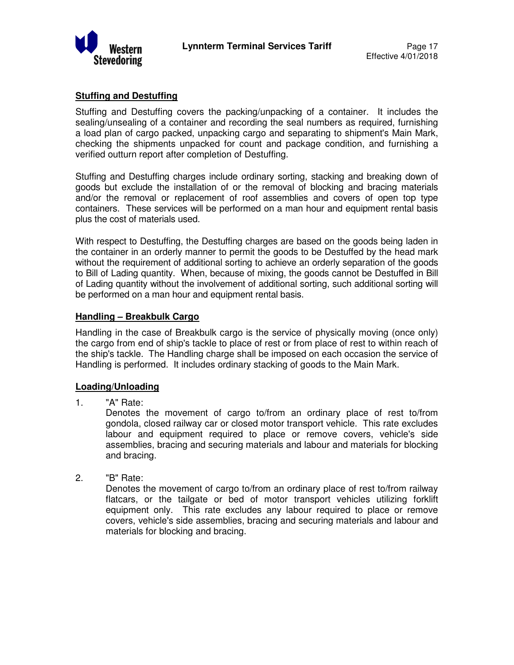

## **Stuffing and Destuffing**

Stuffing and Destuffing covers the packing/unpacking of a container. It includes the sealing/unsealing of a container and recording the seal numbers as required, furnishing a load plan of cargo packed, unpacking cargo and separating to shipment's Main Mark, checking the shipments unpacked for count and package condition, and furnishing a verified outturn report after completion of Destuffing.

Stuffing and Destuffing charges include ordinary sorting, stacking and breaking down of goods but exclude the installation of or the removal of blocking and bracing materials and/or the removal or replacement of roof assemblies and covers of open top type containers. These services will be performed on a man hour and equipment rental basis plus the cost of materials used.

With respect to Destuffing, the Destuffing charges are based on the goods being laden in the container in an orderly manner to permit the goods to be Destuffed by the head mark without the requirement of additional sorting to achieve an orderly separation of the goods to Bill of Lading quantity. When, because of mixing, the goods cannot be Destuffed in Bill of Lading quantity without the involvement of additional sorting, such additional sorting will be performed on a man hour and equipment rental basis.

#### **Handling – Breakbulk Cargo**

Handling in the case of Breakbulk cargo is the service of physically moving (once only) the cargo from end of ship's tackle to place of rest or from place of rest to within reach of the ship's tackle. The Handling charge shall be imposed on each occasion the service of Handling is performed. It includes ordinary stacking of goods to the Main Mark.

#### **Loading/Unloading**

1. "A" Rate:

Denotes the movement of cargo to/from an ordinary place of rest to/from gondola, closed railway car or closed motor transport vehicle. This rate excludes labour and equipment required to place or remove covers, vehicle's side assemblies, bracing and securing materials and labour and materials for blocking and bracing.

2. "B" Rate:

Denotes the movement of cargo to/from an ordinary place of rest to/from railway flatcars, or the tailgate or bed of motor transport vehicles utilizing forklift equipment only. This rate excludes any labour required to place or remove covers, vehicle's side assemblies, bracing and securing materials and labour and materials for blocking and bracing.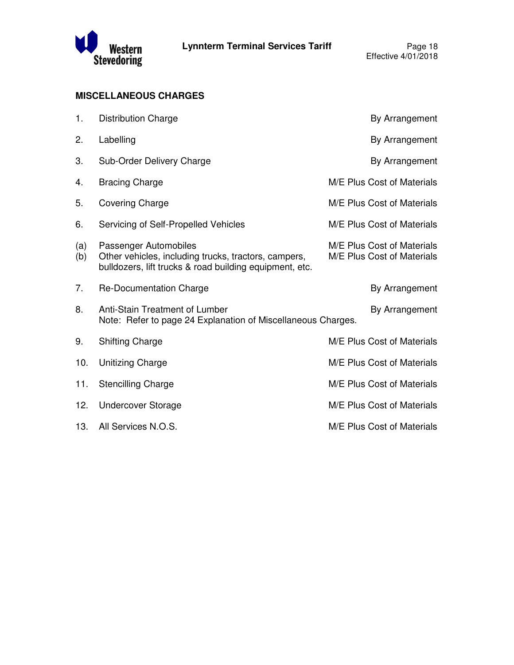

# **MISCELLANEOUS CHARGES**

| 1.         | <b>Distribution Charge</b>                                                                                                               | By Arrangement                                           |
|------------|------------------------------------------------------------------------------------------------------------------------------------------|----------------------------------------------------------|
| 2.         | Labelling                                                                                                                                | By Arrangement                                           |
| 3.         | Sub-Order Delivery Charge                                                                                                                | By Arrangement                                           |
| 4.         | <b>Bracing Charge</b>                                                                                                                    | M/E Plus Cost of Materials                               |
| 5.         | <b>Covering Charge</b>                                                                                                                   | M/E Plus Cost of Materials                               |
| 6.         | Servicing of Self-Propelled Vehicles                                                                                                     | M/E Plus Cost of Materials                               |
| (a)<br>(b) | Passenger Automobiles<br>Other vehicles, including trucks, tractors, campers,<br>bulldozers, lift trucks & road building equipment, etc. | M/E Plus Cost of Materials<br>M/E Plus Cost of Materials |
| 7.         | Re-Documentation Charge                                                                                                                  | By Arrangement                                           |
| 8.         | Anti-Stain Treatment of Lumber<br>Note: Refer to page 24 Explanation of Miscellaneous Charges.                                           | By Arrangement                                           |
| 9.         | <b>Shifting Charge</b>                                                                                                                   | M/E Plus Cost of Materials                               |
| 10.        | <b>Unitizing Charge</b>                                                                                                                  | M/E Plus Cost of Materials                               |
| 11.        | <b>Stencilling Charge</b>                                                                                                                | M/E Plus Cost of Materials                               |
| 12.        | <b>Undercover Storage</b>                                                                                                                | M/E Plus Cost of Materials                               |
| 13.        | All Services N.O.S.                                                                                                                      | M/E Plus Cost of Materials                               |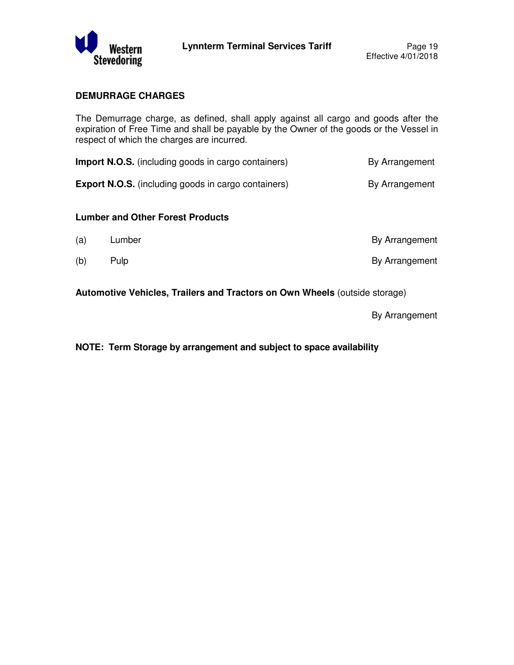

## **DEMURRAGE CHARGES**

The Demurrage charge, as defined, shall apply against all cargo and goods after the expiration of Free Time and shall be payable by the Owner of the goods or the Vessel in respect of which the charges are incurred.

| <b>Import N.O.S.</b> (including goods in cargo containers) | By Arrangement |
|------------------------------------------------------------|----------------|
| <b>Export N.O.S.</b> (including goods in cargo containers) | By Arrangement |

#### **Lumber and Other Forest Products**

| (a) | Lumber | By Arrangement |
|-----|--------|----------------|
| (b) | Pulp   | By Arrangement |

**Automotive Vehicles, Trailers and Tractors on Own Wheels** (outside storage)

By Arrangement

**NOTE: Term Storage by arrangement and subject to space availability**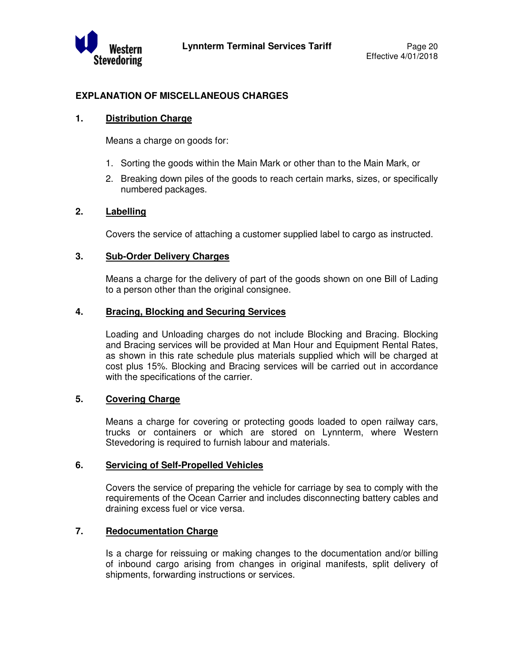

## **EXPLANATION OF MISCELLANEOUS CHARGES**

#### **1. Distribution Charge**

Means a charge on goods for:

- 1. Sorting the goods within the Main Mark or other than to the Main Mark, or
- 2. Breaking down piles of the goods to reach certain marks, sizes, or specifically numbered packages.

#### **2. Labelling**

Covers the service of attaching a customer supplied label to cargo as instructed.

#### **3. Sub-Order Delivery Charges**

 Means a charge for the delivery of part of the goods shown on one Bill of Lading to a person other than the original consignee.

#### **4. Bracing, Blocking and Securing Services**

 Loading and Unloading charges do not include Blocking and Bracing. Blocking and Bracing services will be provided at Man Hour and Equipment Rental Rates, as shown in this rate schedule plus materials supplied which will be charged at cost plus 15%. Blocking and Bracing services will be carried out in accordance with the specifications of the carrier.

#### **5. Covering Charge**

 Means a charge for covering or protecting goods loaded to open railway cars, trucks or containers or which are stored on Lynnterm, where Western Stevedoring is required to furnish labour and materials.

#### **6. Servicing of Self-Propelled Vehicles**

 Covers the service of preparing the vehicle for carriage by sea to comply with the requirements of the Ocean Carrier and includes disconnecting battery cables and draining excess fuel or vice versa.

#### **7. Redocumentation Charge**

 Is a charge for reissuing or making changes to the documentation and/or billing of inbound cargo arising from changes in original manifests, split delivery of shipments, forwarding instructions or services.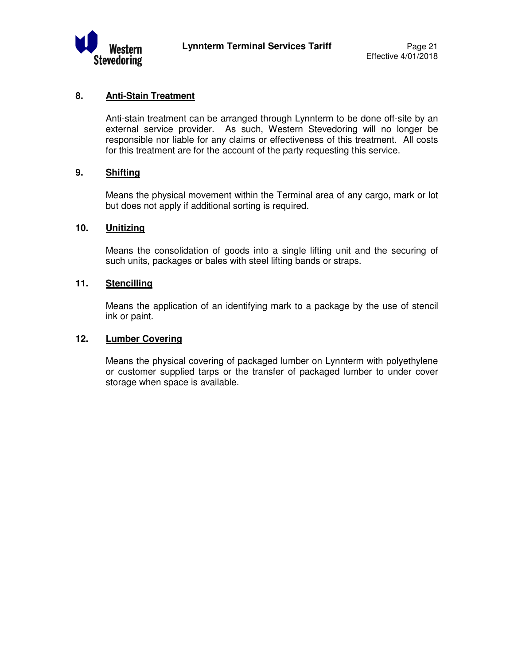

#### **8. Anti-Stain Treatment**

 Anti-stain treatment can be arranged through Lynnterm to be done off-site by an external service provider. As such, Western Stevedoring will no longer be responsible nor liable for any claims or effectiveness of this treatment. All costs for this treatment are for the account of the party requesting this service.

## **9. Shifting**

 Means the physical movement within the Terminal area of any cargo, mark or lot but does not apply if additional sorting is required.

#### **10. Unitizing**

 Means the consolidation of goods into a single lifting unit and the securing of such units, packages or bales with steel lifting bands or straps.

#### **11. Stencilling**

 Means the application of an identifying mark to a package by the use of stencil ink or paint.

#### **12. Lumber Covering**

 Means the physical covering of packaged lumber on Lynnterm with polyethylene or customer supplied tarps or the transfer of packaged lumber to under cover storage when space is available.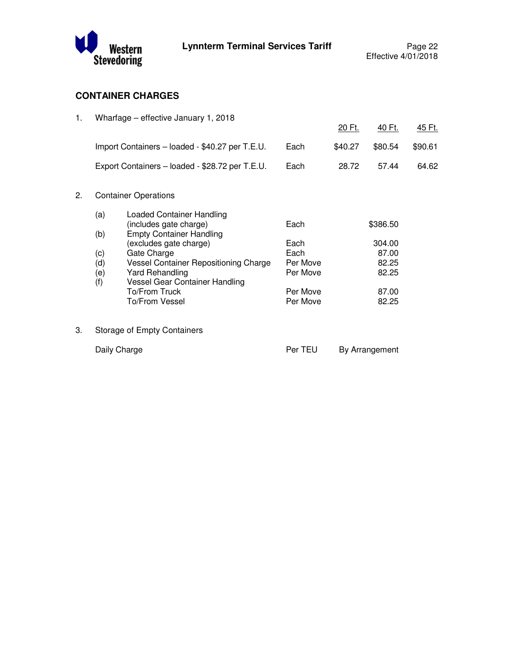

# **CONTAINER CHARGES**

| 1. |              | Wharfage - effective January 1, 2018                      |          |         |                |               |
|----|--------------|-----------------------------------------------------------|----------|---------|----------------|---------------|
|    |              |                                                           |          | 20 Ft.  | 40 Ft.         | <u>45 Ft.</u> |
|    |              | Import Containers - loaded - \$40.27 per T.E.U.           | Each     | \$40.27 | \$80.54        | \$90.61       |
|    |              | Export Containers - loaded - \$28.72 per T.E.U.           | Each     | 28.72   | 57.44          | 64.62         |
| 2. |              | <b>Container Operations</b>                               |          |         |                |               |
|    | (a)          | <b>Loaded Container Handling</b>                          |          |         |                |               |
|    | (b)          | (includes gate charge)<br><b>Empty Container Handling</b> | Each     |         | \$386.50       |               |
|    |              | (excludes gate charge)                                    | Each     |         | 304.00         |               |
|    | (c)          | Gate Charge                                               | Each     |         | 87.00          |               |
|    | (d)          | Vessel Container Repositioning Charge                     | Per Move |         | 82.25          |               |
|    | (e)<br>(f)   | <b>Yard Rehandling</b><br>Vessel Gear Container Handling  | Per Move |         | 82.25          |               |
|    |              | To/From Truck                                             | Per Move |         | 87.00          |               |
|    |              | To/From Vessel                                            | Per Move |         | 82.25          |               |
| 3. |              | Storage of Empty Containers                               |          |         |                |               |
|    | Daily Charge |                                                           | Per TEU  |         | By Arrangement |               |
|    |              |                                                           |          |         |                |               |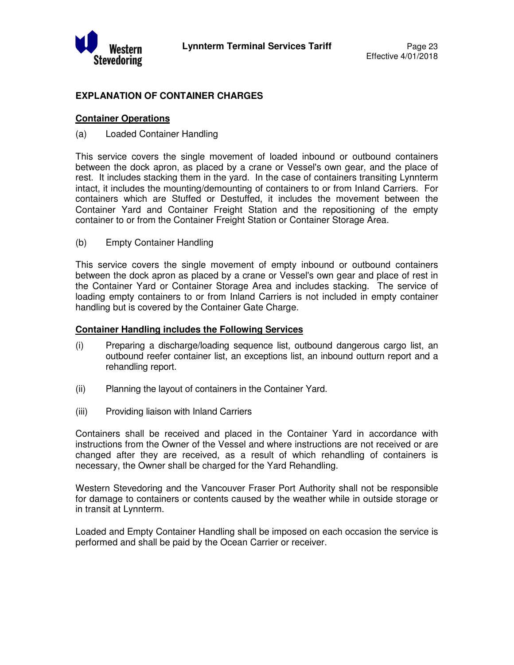

# **EXPLANATION OF CONTAINER CHARGES**

#### **Container Operations**

#### (a) Loaded Container Handling

This service covers the single movement of loaded inbound or outbound containers between the dock apron, as placed by a crane or Vessel's own gear, and the place of rest. It includes stacking them in the yard. In the case of containers transiting Lynnterm intact, it includes the mounting/demounting of containers to or from Inland Carriers. For containers which are Stuffed or Destuffed, it includes the movement between the Container Yard and Container Freight Station and the repositioning of the empty container to or from the Container Freight Station or Container Storage Area.

(b) Empty Container Handling

This service covers the single movement of empty inbound or outbound containers between the dock apron as placed by a crane or Vessel's own gear and place of rest in the Container Yard or Container Storage Area and includes stacking. The service of loading empty containers to or from Inland Carriers is not included in empty container handling but is covered by the Container Gate Charge.

#### **Container Handling includes the Following Services**

- (i) Preparing a discharge/loading sequence list, outbound dangerous cargo list, an outbound reefer container list, an exceptions list, an inbound outturn report and a rehandling report.
- (ii) Planning the layout of containers in the Container Yard.
- (iii) Providing liaison with Inland Carriers

Containers shall be received and placed in the Container Yard in accordance with instructions from the Owner of the Vessel and where instructions are not received or are changed after they are received, as a result of which rehandling of containers is necessary, the Owner shall be charged for the Yard Rehandling.

Western Stevedoring and the Vancouver Fraser Port Authority shall not be responsible for damage to containers or contents caused by the weather while in outside storage or in transit at Lynnterm.

Loaded and Empty Container Handling shall be imposed on each occasion the service is performed and shall be paid by the Ocean Carrier or receiver.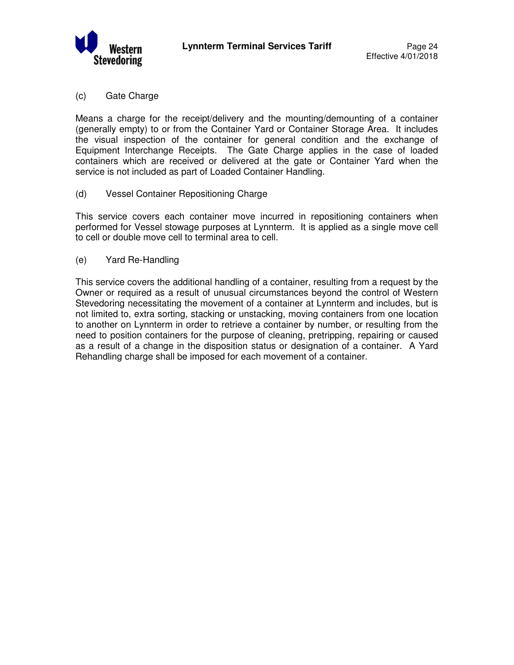

(c) Gate Charge

Means a charge for the receipt/delivery and the mounting/demounting of a container (generally empty) to or from the Container Yard or Container Storage Area. It includes the visual inspection of the container for general condition and the exchange of Equipment Interchange Receipts. The Gate Charge applies in the case of loaded containers which are received or delivered at the gate or Container Yard when the service is not included as part of Loaded Container Handling.

(d) Vessel Container Repositioning Charge

This service covers each container move incurred in repositioning containers when performed for Vessel stowage purposes at Lynnterm. It is applied as a single move cell to cell or double move cell to terminal area to cell.

(e) Yard Re-Handling

This service covers the additional handling of a container, resulting from a request by the Owner or required as a result of unusual circumstances beyond the control of Western Stevedoring necessitating the movement of a container at Lynnterm and includes, but is not limited to, extra sorting, stacking or unstacking, moving containers from one location to another on Lynnterm in order to retrieve a container by number, or resulting from the need to position containers for the purpose of cleaning, pretripping, repairing or caused as a result of a change in the disposition status or designation of a container. A Yard Rehandling charge shall be imposed for each movement of a container.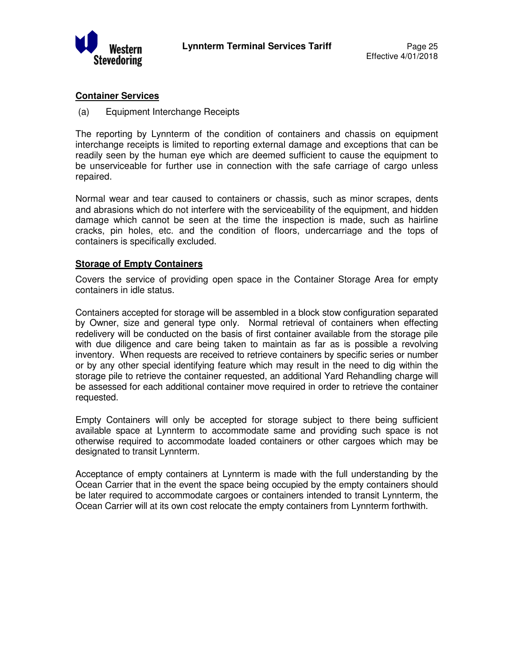

#### **Container Services**

(a) Equipment Interchange Receipts

The reporting by Lynnterm of the condition of containers and chassis on equipment interchange receipts is limited to reporting external damage and exceptions that can be readily seen by the human eye which are deemed sufficient to cause the equipment to be unserviceable for further use in connection with the safe carriage of cargo unless repaired.

Normal wear and tear caused to containers or chassis, such as minor scrapes, dents and abrasions which do not interfere with the serviceability of the equipment, and hidden damage which cannot be seen at the time the inspection is made, such as hairline cracks, pin holes, etc. and the condition of floors, undercarriage and the tops of containers is specifically excluded.

#### **Storage of Empty Containers**

Covers the service of providing open space in the Container Storage Area for empty containers in idle status.

Containers accepted for storage will be assembled in a block stow configuration separated by Owner, size and general type only. Normal retrieval of containers when effecting redelivery will be conducted on the basis of first container available from the storage pile with due diligence and care being taken to maintain as far as is possible a revolving inventory. When requests are received to retrieve containers by specific series or number or by any other special identifying feature which may result in the need to dig within the storage pile to retrieve the container requested, an additional Yard Rehandling charge will be assessed for each additional container move required in order to retrieve the container requested.

Empty Containers will only be accepted for storage subject to there being sufficient available space at Lynnterm to accommodate same and providing such space is not otherwise required to accommodate loaded containers or other cargoes which may be designated to transit Lynnterm.

Acceptance of empty containers at Lynnterm is made with the full understanding by the Ocean Carrier that in the event the space being occupied by the empty containers should be later required to accommodate cargoes or containers intended to transit Lynnterm, the Ocean Carrier will at its own cost relocate the empty containers from Lynnterm forthwith.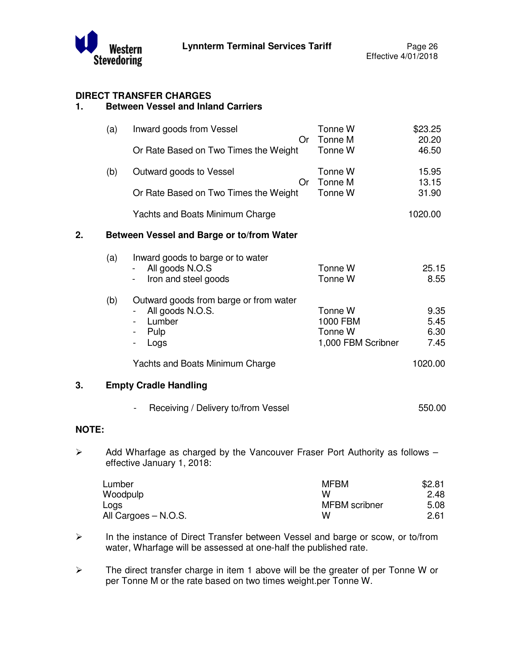

# **DIRECT TRANSFER CHARGES**

# **1. Between Vessel and Inland Carriers**

|                       | (a) | Inward goods from Vessel<br>Or Rate Based on Two Times the Weight                                         | <b>Or</b> | Tonne W<br>Tonne M<br>Tonne W                        | \$23.25<br>20.20<br>46.50    |
|-----------------------|-----|-----------------------------------------------------------------------------------------------------------|-----------|------------------------------------------------------|------------------------------|
|                       | (b) | Outward goods to Vessel<br>Or Rate Based on Two Times the Weight                                          | 0r        | Tonne W<br>Tonne M<br>Tonne W                        | 15.95<br>13.15<br>31.90      |
|                       |     | Yachts and Boats Minimum Charge                                                                           |           |                                                      | 1020.00                      |
| 2.                    |     | Between Vessel and Barge or to/from Water                                                                 |           |                                                      |                              |
|                       | (a) | Inward goods to barge or to water<br>All goods N.O.S<br>Iron and steel goods<br>$\overline{\phantom{a}}$  |           | Tonne W<br>Tonne W                                   | 25.15<br>8.55                |
|                       | (b) | Outward goods from barge or from water<br>All goods N.O.S.<br>Lumber<br>Pulp<br>Logs<br>$\blacksquare$    |           | Tonne W<br>1000 FBM<br>Tonne W<br>1,000 FBM Scribner | 9.35<br>5.45<br>6.30<br>7.45 |
|                       |     | Yachts and Boats Minimum Charge                                                                           |           |                                                      | 1020.00                      |
| 3.                    |     | <b>Empty Cradle Handling</b>                                                                              |           |                                                      |                              |
|                       |     | Receiving / Delivery to/from Vessel                                                                       |           |                                                      | 550.00                       |
| <b>NOTE:</b>          |     |                                                                                                           |           |                                                      |                              |
| $\blacktriangleright$ |     | Add Wharfage as charged by the Vancouver Fraser Port Authority as follows -<br>effective January 1, 2018: |           |                                                      |                              |

| Lumber               | <b>MFBM</b>          | \$2.81 |
|----------------------|----------------------|--------|
| Woodpulp             | w                    | 2.48   |
| Logs                 | <b>MFBM</b> scribner | 5.08   |
| All Cargoes – N.O.S. | w                    | 2.61   |

- In the instance of Direct Transfer between Vessel and barge or scow, or to/from water, Wharfage will be assessed at one-half the published rate.
- $\triangleright$  The direct transfer charge in item 1 above will be the greater of per Tonne W or per Tonne M or the rate based on two times weight.per Tonne W.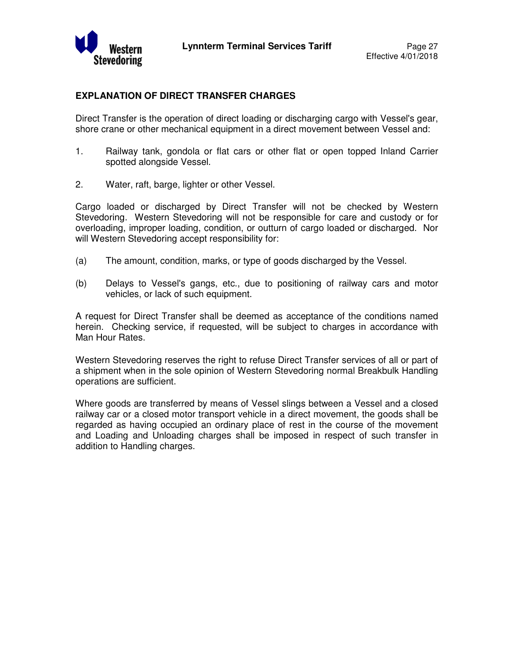

#### **EXPLANATION OF DIRECT TRANSFER CHARGES**

Direct Transfer is the operation of direct loading or discharging cargo with Vessel's gear, shore crane or other mechanical equipment in a direct movement between Vessel and:

- 1. Railway tank, gondola or flat cars or other flat or open topped Inland Carrier spotted alongside Vessel.
- 2. Water, raft, barge, lighter or other Vessel.

Cargo loaded or discharged by Direct Transfer will not be checked by Western Stevedoring. Western Stevedoring will not be responsible for care and custody or for overloading, improper loading, condition, or outturn of cargo loaded or discharged. Nor will Western Stevedoring accept responsibility for:

- (a) The amount, condition, marks, or type of goods discharged by the Vessel.
- (b) Delays to Vessel's gangs, etc., due to positioning of railway cars and motor vehicles, or lack of such equipment.

A request for Direct Transfer shall be deemed as acceptance of the conditions named herein. Checking service, if requested, will be subject to charges in accordance with Man Hour Rates.

Western Stevedoring reserves the right to refuse Direct Transfer services of all or part of a shipment when in the sole opinion of Western Stevedoring normal Breakbulk Handling operations are sufficient.

Where goods are transferred by means of Vessel slings between a Vessel and a closed railway car or a closed motor transport vehicle in a direct movement, the goods shall be regarded as having occupied an ordinary place of rest in the course of the movement and Loading and Unloading charges shall be imposed in respect of such transfer in addition to Handling charges.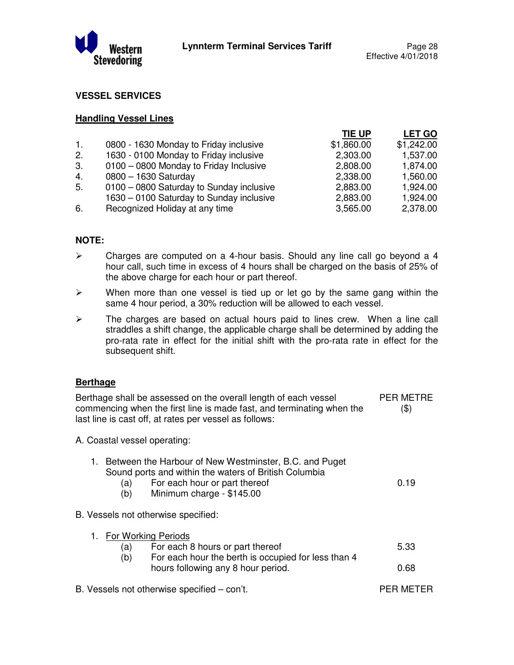

#### **VESSEL SERVICES**

#### **Handling Vessel Lines**

|                |                                          | TIE UP     | <b>LET GO</b> |
|----------------|------------------------------------------|------------|---------------|
| $\mathbf{1}$ . | 0800 - 1630 Monday to Friday inclusive   | \$1,860.00 | \$1,242.00    |
| 2.             | 1630 - 0100 Monday to Friday inclusive   | 2,303.00   | 1,537.00      |
| 3.             | 0100 - 0800 Monday to Friday Inclusive   | 2,808.00   | 1,874.00      |
| 4.             | 0800 - 1630 Saturday                     | 2,338.00   | 1,560.00      |
| 5.             | 0100 - 0800 Saturday to Sunday inclusive | 2,883.00   | 1,924.00      |
|                | 1630 - 0100 Saturday to Sunday inclusive | 2,883.00   | 1,924.00      |
| 6.             | Recognized Holiday at any time           | 3,565.00   | 2,378.00      |
|                |                                          |            |               |

# **NOTE:**

- $\triangleright$  Charges are computed on a 4-hour basis. Should any line call go beyond a 4 hour call, such time in excess of 4 hours shall be charged on the basis of 25% of the above charge for each hour or part thereof.
- $\triangleright$  When more than one vessel is tied up or let go by the same gang within the same 4 hour period, a 30% reduction will be allowed to each vessel.
- $\triangleright$  The charges are based on actual hours paid to lines crew. When a line call straddles a shift change, the applicable charge shall be determined by adding the pro-rata rate in effect for the initial shift with the pro-rata rate in effect for the subsequent shift.

#### **Berthage**

Berthage shall be assessed on the overall length of each vessel commencing when the first line is made fast, and terminating when the last line is cast off, at rates per vessel as follows: PER METRE (\$)

A. Coastal vessel operating:

| 1. Between the Harbour of New Westminster, B.C. and Puget |
|-----------------------------------------------------------|
| Sound ports and within the waters of British Columbia     |

- (a) For each hour or part thereof 0.19
	- (b) Minimum charge \$145.00

B. Vessels not otherwise specified:

|     | 1. For Working Periods                              |      |
|-----|-----------------------------------------------------|------|
| (a) | For each 8 hours or part thereof                    | 5.33 |
| (b) | For each hour the berth is occupied for less than 4 |      |
|     | hours following any 8 hour period.                  | 0.68 |
|     |                                                     |      |

B. Vessels not otherwise specified – con't. The example of the PER METER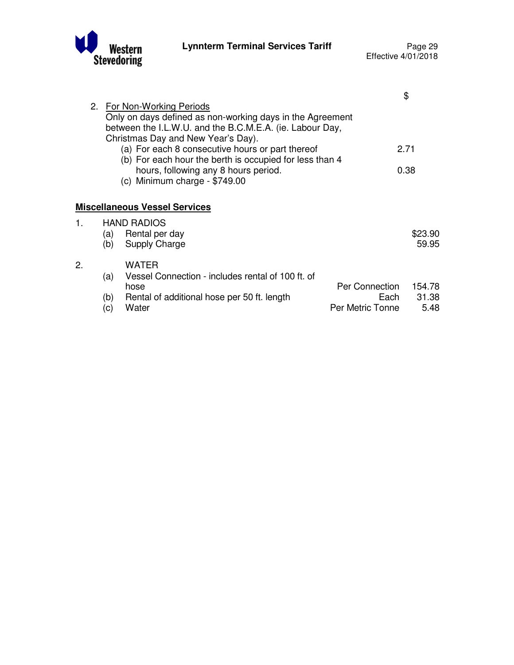

 $1.$ 

 $2.$ 

|    |     |                                                           |                  | \$      |
|----|-----|-----------------------------------------------------------|------------------|---------|
|    |     | 2. For Non-Working Periods                                |                  |         |
|    |     | Only on days defined as non-working days in the Agreement |                  |         |
|    |     | between the I.L.W.U. and the B.C.M.E.A. (ie. Labour Day,  |                  |         |
|    |     | Christmas Day and New Year's Day).                        |                  |         |
|    |     | (a) For each 8 consecutive hours or part thereof          |                  | 2.71    |
|    |     | (b) For each hour the berth is occupied for less than 4   |                  |         |
|    |     | hours, following any 8 hours period.                      |                  | 0.38    |
|    |     | (c) Minimum charge - $$749.00$                            |                  |         |
|    |     |                                                           |                  |         |
|    |     | <b>Miscellaneous Vessel Services</b>                      |                  |         |
| 1. |     | <b>HAND RADIOS</b>                                        |                  |         |
|    | (a) | Rental per day                                            |                  | \$23.90 |
|    | (b) | <b>Supply Charge</b>                                      |                  | 59.95   |
|    |     |                                                           |                  |         |
| 2. |     | <b>WATER</b>                                              |                  |         |
|    | (a) | Vessel Connection - includes rental of 100 ft. of         |                  |         |
|    |     | hose                                                      | Per Connection   | 154.78  |
|    | (b) | Rental of additional hose per 50 ft. length               | Each             | 31.38   |
|    | (c) | Water                                                     | Per Metric Tonne | 5.48    |
|    |     |                                                           |                  |         |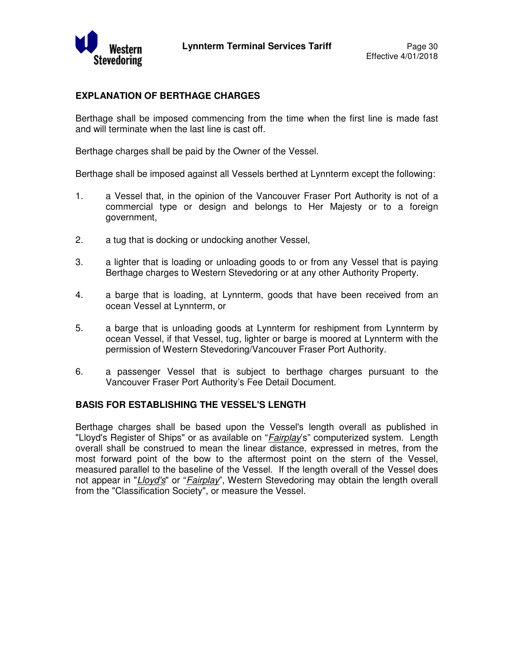

#### **EXPLANATION OF BERTHAGE CHARGES**

Berthage shall be imposed commencing from the time when the first line is made fast and will terminate when the last line is cast off.

Berthage charges shall be paid by the Owner of the Vessel.

Berthage shall be imposed against all Vessels berthed at Lynnterm except the following:

- 1. a Vessel that, in the opinion of the Vancouver Fraser Port Authority is not of a commercial type or design and belongs to Her Majesty or to a foreign government,
- 2. a tug that is docking or undocking another Vessel,
- 3. a lighter that is loading or unloading goods to or from any Vessel that is paying Berthage charges to Western Stevedoring or at any other Authority Property.
- 4. a barge that is loading, at Lynnterm, goods that have been received from an ocean Vessel at Lynnterm, or
- 5. a barge that is unloading goods at Lynnterm for reshipment from Lynnterm by ocean Vessel, if that Vessel, tug, lighter or barge is moored at Lynnterm with the permission of Western Stevedoring/Vancouver Fraser Port Authority.
- 6. a passenger Vessel that is subject to berthage charges pursuant to the Vancouver Fraser Port Authority's Fee Detail Document.

#### **BASIS FOR ESTABLISHING THE VESSEL'S LENGTH**

Berthage charges shall be based upon the Vessel's length overall as published in "Lloyd's Register of Ships" or as available on "*Fairplay*'s" computerized system. Length overall shall be construed to mean the linear distance, expressed in metres, from the most forward point of the bow to the aftermost point on the stern of the Vessel, measured parallel to the baseline of the Vessel. If the length overall of the Vessel does not appear in "Lloyd's" or "Fairplay", Western Stevedoring may obtain the length overall from the "Classification Society", or measure the Vessel.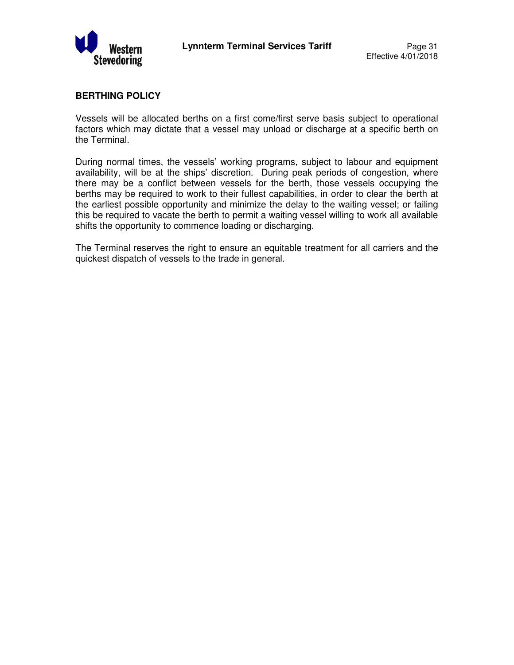

#### **BERTHING POLICY**

Vessels will be allocated berths on a first come/first serve basis subject to operational factors which may dictate that a vessel may unload or discharge at a specific berth on the Terminal.

During normal times, the vessels' working programs, subject to labour and equipment availability, will be at the ships' discretion. During peak periods of congestion, where there may be a conflict between vessels for the berth, those vessels occupying the berths may be required to work to their fullest capabilities, in order to clear the berth at the earliest possible opportunity and minimize the delay to the waiting vessel; or failing this be required to vacate the berth to permit a waiting vessel willing to work all available shifts the opportunity to commence loading or discharging.

The Terminal reserves the right to ensure an equitable treatment for all carriers and the quickest dispatch of vessels to the trade in general.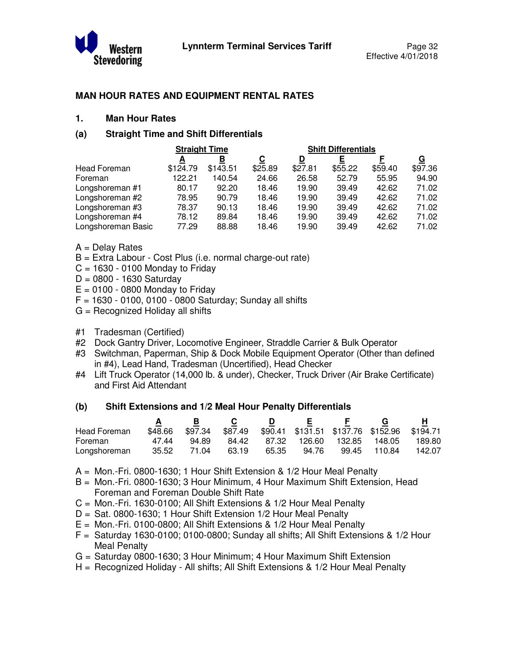

#### **MAN HOUR RATES AND EQUIPMENT RENTAL RATES**

#### **1. Man Hour Rates**

#### **(a) Straight Time and Shift Differentials**

|                    | <b>Straight Time</b> |          |         | <b>Shift Differentials</b> |         |         |          |  |
|--------------------|----------------------|----------|---------|----------------------------|---------|---------|----------|--|
|                    | А                    | в        | С       | D                          |         |         | <u>G</u> |  |
| Head Foreman       | \$124.79             | \$143.51 | \$25.89 | \$27.81                    | \$55.22 | \$59.40 | \$97.36  |  |
| Foreman            | 122.21               | 140.54   | 24.66   | 26.58                      | 52.79   | 55.95   | 94.90    |  |
| Longshoreman #1    | 80.17                | 92.20    | 18.46   | 19.90                      | 39.49   | 42.62   | 71.02    |  |
| Longshoreman #2    | 78.95                | 90.79    | 18.46   | 19.90                      | 39.49   | 42.62   | 71.02    |  |
| Longshoreman #3    | 78.37                | 90.13    | 18.46   | 19.90                      | 39.49   | 42.62   | 71.02    |  |
| Longshoreman #4    | 78.12                | 89.84    | 18.46   | 19.90                      | 39.49   | 42.62   | 71.02    |  |
| Longshoreman Basic | 77.29                | 88.88    | 18.46   | 19.90                      | 39.49   | 42.62   | 71.02    |  |

- A = Delay Rates
- B = Extra Labour Cost Plus (i.e. normal charge-out rate)
- $C = 1630 0100$  Monday to Friday
- $D = 0800 1630$  Saturday
- $E = 0100 0800$  Monday to Friday
- $F = 1630 0100$ , 0100 0800 Saturday; Sunday all shifts
- G = Recognized Holiday all shifts
- #1 Tradesman (Certified)
- #2 Dock Gantry Driver, Locomotive Engineer, Straddle Carrier & Bulk Operator
- #3 Switchman, Paperman, Ship & Dock Mobile Equipment Operator (Other than defined in #4), Lead Hand, Tradesman (Uncertified), Head Checker
- #4 Lift Truck Operator (14,000 lb. & under), Checker, Truck Driver (Air Brake Certificate) and First Aid Attendant

#### **(b) Shift Extensions and 1/2 Meal Hour Penalty Differentials**

|              |         |         |         |       | E.     |        |                                             |        |
|--------------|---------|---------|---------|-------|--------|--------|---------------------------------------------|--------|
| Head Foreman | \$48.66 | \$97.34 | \$87.49 |       |        |        | \$90.41 \$131.51 \$137.76 \$152.96 \$194.71 |        |
| Foreman      | 47.44   | 94.89   | 84.42   | 87.32 | 126.60 | 132.85 | 148.05                                      | 189.80 |
| Longshoreman | 35.52   | 71.04   | 63.19   | 65.35 | 94.76  | 99.45  | 110.84                                      | 142.07 |

- A = Mon.-Fri. 0800-1630; 1 Hour Shift Extension & 1/2 Hour Meal Penalty
- B = Mon.-Fri. 0800-1630; 3 Hour Minimum, 4 Hour Maximum Shift Extension, Head Foreman and Foreman Double Shift Rate
- C = Mon.-Fri. 1630-0100; All Shift Extensions & 1/2 Hour Meal Penalty
- D = Sat. 0800-1630; 1 Hour Shift Extension 1/2 Hour Meal Penalty
- E = Mon.-Fri. 0100-0800; All Shift Extensions & 1/2 Hour Meal Penalty
- $F =$  Saturday 1630-0100; 0100-0800; Sunday all shifts; All Shift Extensions & 1/2 Hour Meal Penalty
- G = Saturday 0800-1630; 3 Hour Minimum; 4 Hour Maximum Shift Extension
- H = Recognized Holiday All shifts; All Shift Extensions & 1/2 Hour Meal Penalty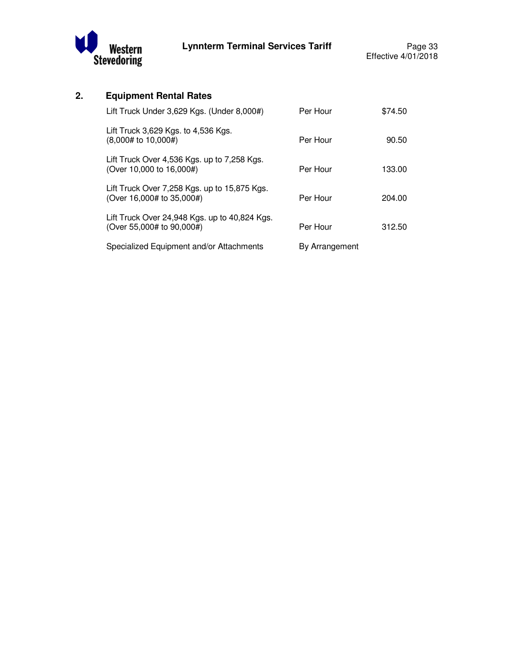

# **2. Equipment Rental Rates**

| Lift Truck Under 3,629 Kgs. (Under 8,000#)                                 | Per Hour       | \$74.50 |
|----------------------------------------------------------------------------|----------------|---------|
| Lift Truck 3,629 Kgs. to 4,536 Kgs.<br>(8,000# to 10,000#)                 | Per Hour       | 90.50   |
| Lift Truck Over 4,536 Kgs. up to 7,258 Kgs.<br>(Over 10,000 to 16,000#)    | Per Hour       | 133.00  |
| Lift Truck Over 7,258 Kgs. up to 15,875 Kgs.<br>(Over 16,000# to 35,000#)  | Per Hour       | 204.00  |
| Lift Truck Over 24,948 Kgs. up to 40,824 Kgs.<br>(Over 55,000# to 90,000#) | Per Hour       | 312.50  |
| Specialized Equipment and/or Attachments                                   | By Arrangement |         |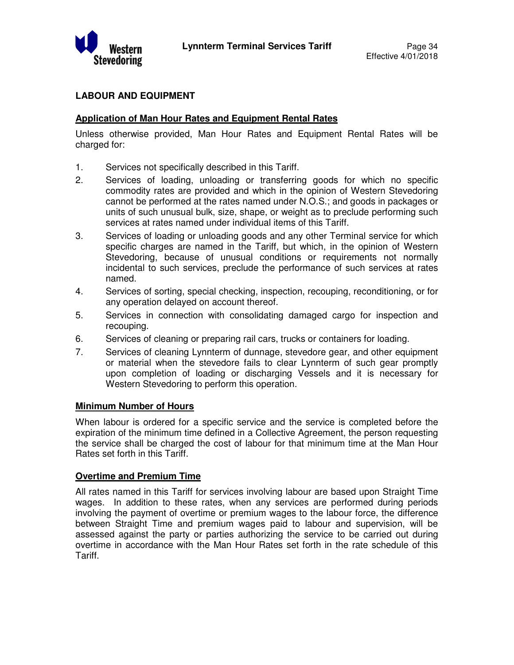

# **LABOUR AND EQUIPMENT**

#### **Application of Man Hour Rates and Equipment Rental Rates**

Unless otherwise provided, Man Hour Rates and Equipment Rental Rates will be charged for:

- 1. Services not specifically described in this Tariff.
- 2. Services of loading, unloading or transferring goods for which no specific commodity rates are provided and which in the opinion of Western Stevedoring cannot be performed at the rates named under N.O.S.; and goods in packages or units of such unusual bulk, size, shape, or weight as to preclude performing such services at rates named under individual items of this Tariff.
- 3. Services of loading or unloading goods and any other Terminal service for which specific charges are named in the Tariff, but which, in the opinion of Western Stevedoring, because of unusual conditions or requirements not normally incidental to such services, preclude the performance of such services at rates named.
- 4. Services of sorting, special checking, inspection, recouping, reconditioning, or for any operation delayed on account thereof.
- 5. Services in connection with consolidating damaged cargo for inspection and recouping.
- 6. Services of cleaning or preparing rail cars, trucks or containers for loading.
- 7. Services of cleaning Lynnterm of dunnage, stevedore gear, and other equipment or material when the stevedore fails to clear Lynnterm of such gear promptly upon completion of loading or discharging Vessels and it is necessary for Western Stevedoring to perform this operation.

#### **Minimum Number of Hours**

When labour is ordered for a specific service and the service is completed before the expiration of the minimum time defined in a Collective Agreement, the person requesting the service shall be charged the cost of labour for that minimum time at the Man Hour Rates set forth in this Tariff.

#### **Overtime and Premium Time**

All rates named in this Tariff for services involving labour are based upon Straight Time wages. In addition to these rates, when any services are performed during periods involving the payment of overtime or premium wages to the labour force, the difference between Straight Time and premium wages paid to labour and supervision, will be assessed against the party or parties authorizing the service to be carried out during overtime in accordance with the Man Hour Rates set forth in the rate schedule of this Tariff.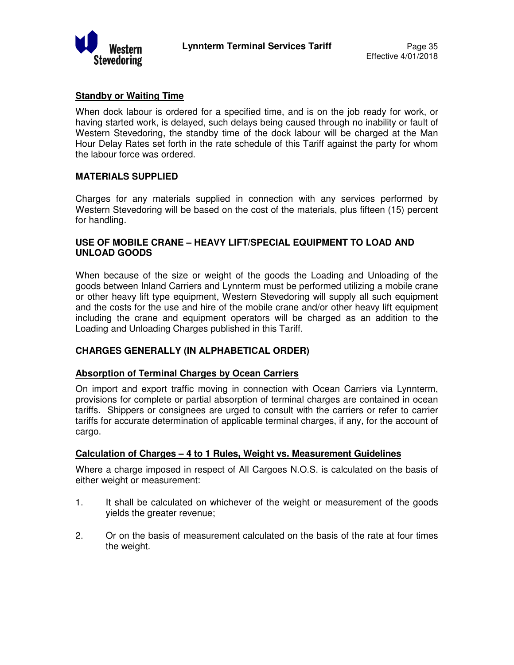

#### **Standby or Waiting Time**

When dock labour is ordered for a specified time, and is on the job ready for work, or having started work, is delayed, such delays being caused through no inability or fault of Western Stevedoring, the standby time of the dock labour will be charged at the Man Hour Delay Rates set forth in the rate schedule of this Tariff against the party for whom the labour force was ordered.

#### **MATERIALS SUPPLIED**

Charges for any materials supplied in connection with any services performed by Western Stevedoring will be based on the cost of the materials, plus fifteen (15) percent for handling.

#### **USE OF MOBILE CRANE – HEAVY LIFT/SPECIAL EQUIPMENT TO LOAD AND UNLOAD GOODS**

When because of the size or weight of the goods the Loading and Unloading of the goods between Inland Carriers and Lynnterm must be performed utilizing a mobile crane or other heavy lift type equipment, Western Stevedoring will supply all such equipment and the costs for the use and hire of the mobile crane and/or other heavy lift equipment including the crane and equipment operators will be charged as an addition to the Loading and Unloading Charges published in this Tariff.

#### **CHARGES GENERALLY (IN ALPHABETICAL ORDER)**

#### **Absorption of Terminal Charges by Ocean Carriers**

On import and export traffic moving in connection with Ocean Carriers via Lynnterm, provisions for complete or partial absorption of terminal charges are contained in ocean tariffs. Shippers or consignees are urged to consult with the carriers or refer to carrier tariffs for accurate determination of applicable terminal charges, if any, for the account of cargo.

#### **Calculation of Charges – 4 to 1 Rules, Weight vs. Measurement Guidelines**

Where a charge imposed in respect of All Cargoes N.O.S. is calculated on the basis of either weight or measurement:

- 1. It shall be calculated on whichever of the weight or measurement of the goods yields the greater revenue;
- 2. Or on the basis of measurement calculated on the basis of the rate at four times the weight.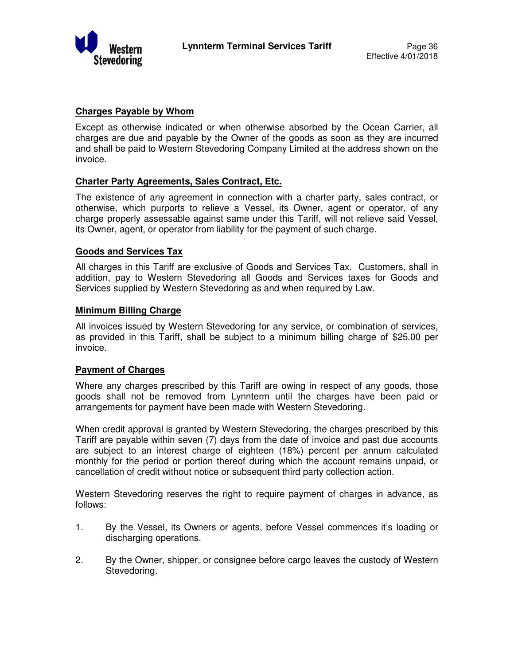

#### **Charges Payable by Whom**

Except as otherwise indicated or when otherwise absorbed by the Ocean Carrier, all charges are due and payable by the Owner of the goods as soon as they are incurred and shall be paid to Western Stevedoring Company Limited at the address shown on the invoice.

#### **Charter Party Agreements, Sales Contract, Etc.**

The existence of any agreement in connection with a charter party, sales contract, or otherwise, which purports to relieve a Vessel, its Owner, agent or operator, of any charge properly assessable against same under this Tariff, will not relieve said Vessel, its Owner, agent, or operator from liability for the payment of such charge.

#### **Goods and Services Tax**

All charges in this Tariff are exclusive of Goods and Services Tax. Customers, shall in addition, pay to Western Stevedoring all Goods and Services taxes for Goods and Services supplied by Western Stevedoring as and when required by Law.

#### **Minimum Billing Charge**

All invoices issued by Western Stevedoring for any service, or combination of services, as provided in this Tariff, shall be subject to a minimum billing charge of \$25.00 per invoice.

#### **Payment of Charges**

Where any charges prescribed by this Tariff are owing in respect of any goods, those goods shall not be removed from Lynnterm until the charges have been paid or arrangements for payment have been made with Western Stevedoring.

When credit approval is granted by Western Stevedoring, the charges prescribed by this Tariff are payable within seven (7) days from the date of invoice and past due accounts are subject to an interest charge of eighteen (18%) percent per annum calculated monthly for the period or portion thereof during which the account remains unpaid, or cancellation of credit without notice or subsequent third party collection action.

Western Stevedoring reserves the right to require payment of charges in advance, as follows:

- 1. By the Vessel, its Owners or agents, before Vessel commences it's loading or discharging operations.
- 2. By the Owner, shipper, or consignee before cargo leaves the custody of Western Stevedoring.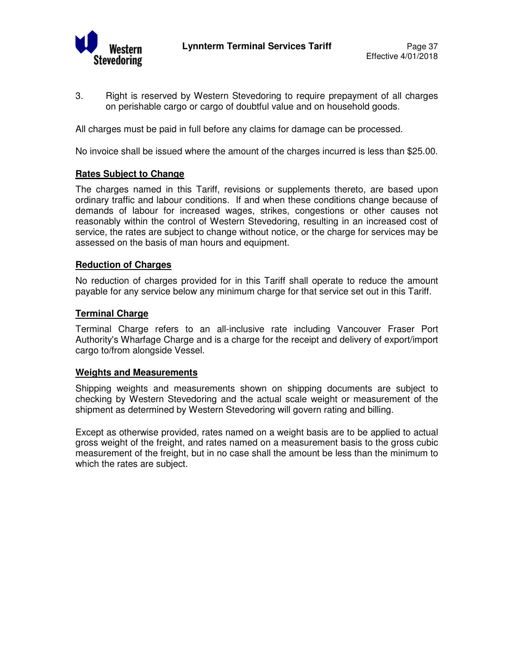

3. Right is reserved by Western Stevedoring to require prepayment of all charges on perishable cargo or cargo of doubtful value and on household goods.

All charges must be paid in full before any claims for damage can be processed.

No invoice shall be issued where the amount of the charges incurred is less than \$25.00.

#### **Rates Subject to Change**

The charges named in this Tariff, revisions or supplements thereto, are based upon ordinary traffic and labour conditions. If and when these conditions change because of demands of labour for increased wages, strikes, congestions or other causes not reasonably within the control of Western Stevedoring, resulting in an increased cost of service, the rates are subject to change without notice, or the charge for services may be assessed on the basis of man hours and equipment.

#### **Reduction of Charges**

No reduction of charges provided for in this Tariff shall operate to reduce the amount payable for any service below any minimum charge for that service set out in this Tariff.

#### **Terminal Charge**

Terminal Charge refers to an all-inclusive rate including Vancouver Fraser Port Authority's Wharfage Charge and is a charge for the receipt and delivery of export/import cargo to/from alongside Vessel.

#### **Weights and Measurements**

Shipping weights and measurements shown on shipping documents are subject to checking by Western Stevedoring and the actual scale weight or measurement of the shipment as determined by Western Stevedoring will govern rating and billing.

Except as otherwise provided, rates named on a weight basis are to be applied to actual gross weight of the freight, and rates named on a measurement basis to the gross cubic measurement of the freight, but in no case shall the amount be less than the minimum to which the rates are subject.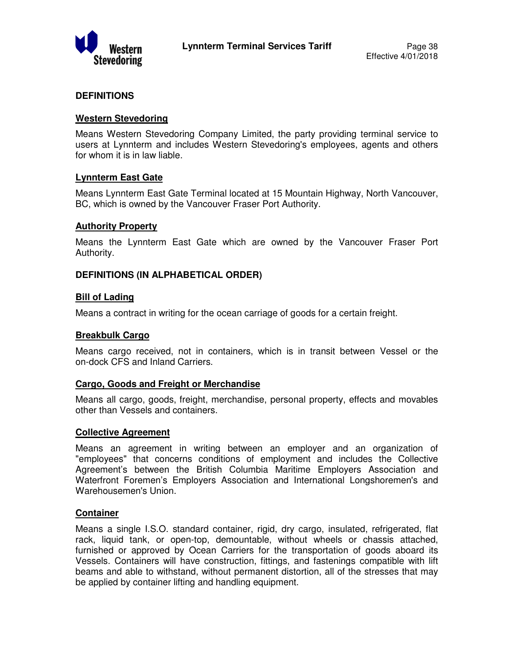

#### **DEFINITIONS**

#### **Western Stevedoring**

Means Western Stevedoring Company Limited, the party providing terminal service to users at Lynnterm and includes Western Stevedoring's employees, agents and others for whom it is in law liable.

#### **Lynnterm East Gate**

Means Lynnterm East Gate Terminal located at 15 Mountain Highway, North Vancouver, BC, which is owned by the Vancouver Fraser Port Authority.

#### **Authority Property**

Means the Lynnterm East Gate which are owned by the Vancouver Fraser Port Authority.

#### **DEFINITIONS (IN ALPHABETICAL ORDER)**

#### **Bill of Lading**

Means a contract in writing for the ocean carriage of goods for a certain freight.

#### **Breakbulk Cargo**

Means cargo received, not in containers, which is in transit between Vessel or the on-dock CFS and Inland Carriers.

#### **Cargo, Goods and Freight or Merchandise**

Means all cargo, goods, freight, merchandise, personal property, effects and movables other than Vessels and containers.

#### **Collective Agreement**

Means an agreement in writing between an employer and an organization of "employees" that concerns conditions of employment and includes the Collective Agreement's between the British Columbia Maritime Employers Association and Waterfront Foremen's Employers Association and International Longshoremen's and Warehousemen's Union.

#### **Container**

Means a single I.S.O. standard container, rigid, dry cargo, insulated, refrigerated, flat rack, liquid tank, or open-top, demountable, without wheels or chassis attached, furnished or approved by Ocean Carriers for the transportation of goods aboard its Vessels. Containers will have construction, fittings, and fastenings compatible with lift beams and able to withstand, without permanent distortion, all of the stresses that may be applied by container lifting and handling equipment.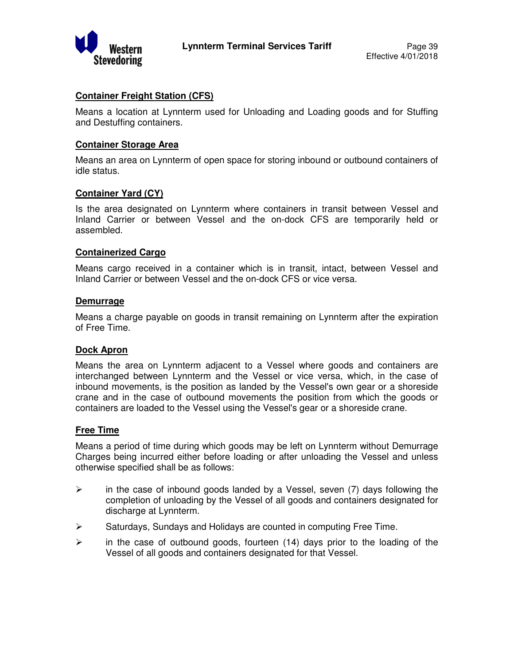

#### **Container Freight Station (CFS)**

Means a location at Lynnterm used for Unloading and Loading goods and for Stuffing and Destuffing containers.

#### **Container Storage Area**

Means an area on Lynnterm of open space for storing inbound or outbound containers of idle status.

#### **Container Yard (CY)**

Is the area designated on Lynnterm where containers in transit between Vessel and Inland Carrier or between Vessel and the on-dock CFS are temporarily held or assembled.

#### **Containerized Cargo**

Means cargo received in a container which is in transit, intact, between Vessel and Inland Carrier or between Vessel and the on-dock CFS or vice versa.

#### **Demurrage**

Means a charge payable on goods in transit remaining on Lynnterm after the expiration of Free Time.

#### **Dock Apron**

Means the area on Lynnterm adjacent to a Vessel where goods and containers are interchanged between Lynnterm and the Vessel or vice versa, which, in the case of inbound movements, is the position as landed by the Vessel's own gear or a shoreside crane and in the case of outbound movements the position from which the goods or containers are loaded to the Vessel using the Vessel's gear or a shoreside crane.

#### **Free Time**

Means a period of time during which goods may be left on Lynnterm without Demurrage Charges being incurred either before loading or after unloading the Vessel and unless otherwise specified shall be as follows:

- $\triangleright$  in the case of inbound goods landed by a Vessel, seven (7) days following the completion of unloading by the Vessel of all goods and containers designated for discharge at Lynnterm.
- $\triangleright$  Saturdays, Sundays and Holidays are counted in computing Free Time.
- $\triangleright$  in the case of outbound goods, fourteen (14) days prior to the loading of the Vessel of all goods and containers designated for that Vessel.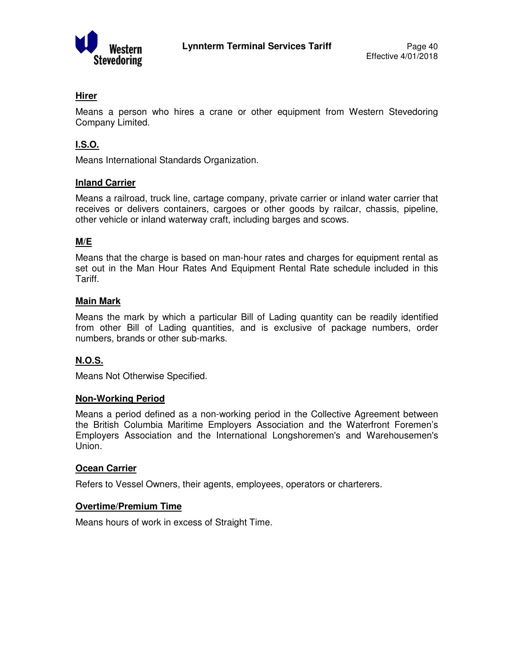

# **Hirer**

Means a person who hires a crane or other equipment from Western Stevedoring Company Limited.

# **I.S.O.**

Means International Standards Organization.

#### **Inland Carrier**

Means a railroad, truck line, cartage company, private carrier or inland water carrier that receives or delivers containers, cargoes or other goods by railcar, chassis, pipeline, other vehicle or inland waterway craft, including barges and scows.

# **M/E**

Means that the charge is based on man-hour rates and charges for equipment rental as set out in the Man Hour Rates And Equipment Rental Rate schedule included in this Tariff.

#### **Main Mark**

Means the mark by which a particular Bill of Lading quantity can be readily identified from other Bill of Lading quantities, and is exclusive of package numbers, order numbers, brands or other sub-marks.

#### **N.O.S.**

Means Not Otherwise Specified.

#### **Non-Working Period**

Means a period defined as a non-working period in the Collective Agreement between the British Columbia Maritime Employers Association and the Waterfront Foremen's Employers Association and the International Longshoremen's and Warehousemen's Union.

#### **Ocean Carrier**

Refers to Vessel Owners, their agents, employees, operators or charterers.

#### **Overtime/Premium Time**

Means hours of work in excess of Straight Time.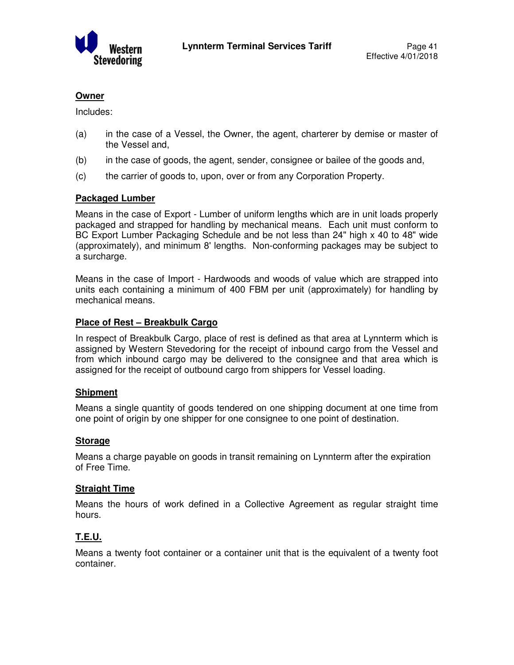

## **Owner**

Includes:

- (a) in the case of a Vessel, the Owner, the agent, charterer by demise or master of the Vessel and,
- (b) in the case of goods, the agent, sender, consignee or bailee of the goods and,
- (c) the carrier of goods to, upon, over or from any Corporation Property.

#### **Packaged Lumber**

Means in the case of Export - Lumber of uniform lengths which are in unit loads properly packaged and strapped for handling by mechanical means. Each unit must conform to BC Export Lumber Packaging Schedule and be not less than 24" high x 40 to 48" wide (approximately), and minimum 8' lengths. Non-conforming packages may be subject to a surcharge.

Means in the case of Import - Hardwoods and woods of value which are strapped into units each containing a minimum of 400 FBM per unit (approximately) for handling by mechanical means.

#### **Place of Rest – Breakbulk Cargo**

In respect of Breakbulk Cargo, place of rest is defined as that area at Lynnterm which is assigned by Western Stevedoring for the receipt of inbound cargo from the Vessel and from which inbound cargo may be delivered to the consignee and that area which is assigned for the receipt of outbound cargo from shippers for Vessel loading.

#### **Shipment**

Means a single quantity of goods tendered on one shipping document at one time from one point of origin by one shipper for one consignee to one point of destination.

#### **Storage**

Means a charge payable on goods in transit remaining on Lynnterm after the expiration of Free Time.

#### **Straight Time**

Means the hours of work defined in a Collective Agreement as regular straight time hours.

# **T.E.U.**

Means a twenty foot container or a container unit that is the equivalent of a twenty foot container.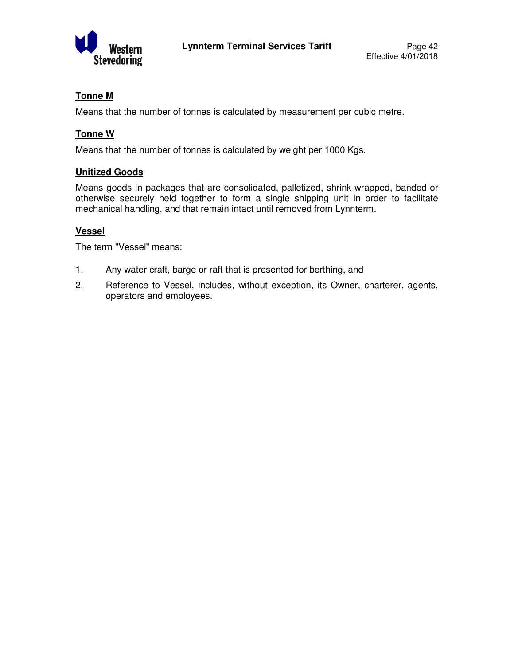

# **Tonne M**

Means that the number of tonnes is calculated by measurement per cubic metre.

# **Tonne W**

Means that the number of tonnes is calculated by weight per 1000 Kgs.

# **Unitized Goods**

Means goods in packages that are consolidated, palletized, shrink-wrapped, banded or otherwise securely held together to form a single shipping unit in order to facilitate mechanical handling, and that remain intact until removed from Lynnterm.

# **Vessel**

The term "Vessel" means:

- 1. Any water craft, barge or raft that is presented for berthing, and
- 2. Reference to Vessel, includes, without exception, its Owner, charterer, agents, operators and employees.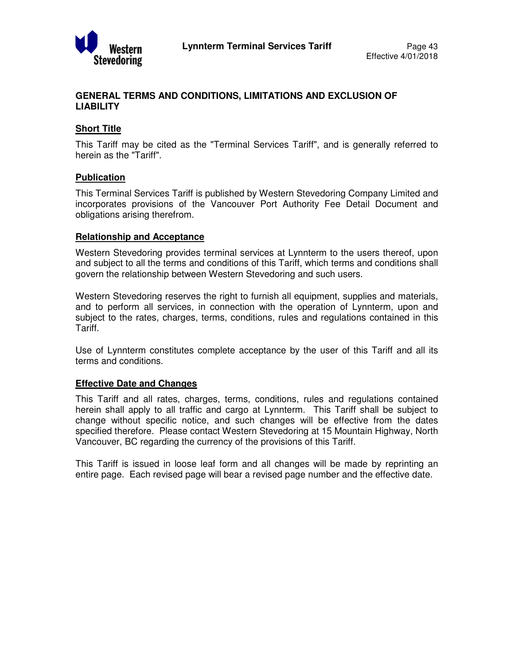

### **GENERAL TERMS AND CONDITIONS, LIMITATIONS AND EXCLUSION OF LIABILITY**

# **Short Title**

This Tariff may be cited as the "Terminal Services Tariff", and is generally referred to herein as the "Tariff".

#### **Publication**

This Terminal Services Tariff is published by Western Stevedoring Company Limited and incorporates provisions of the Vancouver Port Authority Fee Detail Document and obligations arising therefrom.

#### **Relationship and Acceptance**

Western Stevedoring provides terminal services at Lynnterm to the users thereof, upon and subject to all the terms and conditions of this Tariff, which terms and conditions shall govern the relationship between Western Stevedoring and such users.

Western Stevedoring reserves the right to furnish all equipment, supplies and materials, and to perform all services, in connection with the operation of Lynnterm, upon and subject to the rates, charges, terms, conditions, rules and regulations contained in this Tariff.

Use of Lynnterm constitutes complete acceptance by the user of this Tariff and all its terms and conditions.

#### **Effective Date and Changes**

This Tariff and all rates, charges, terms, conditions, rules and regulations contained herein shall apply to all traffic and cargo at Lynnterm. This Tariff shall be subject to change without specific notice, and such changes will be effective from the dates specified therefore. Please contact Western Stevedoring at 15 Mountain Highway, North Vancouver, BC regarding the currency of the provisions of this Tariff.

This Tariff is issued in loose leaf form and all changes will be made by reprinting an entire page. Each revised page will bear a revised page number and the effective date.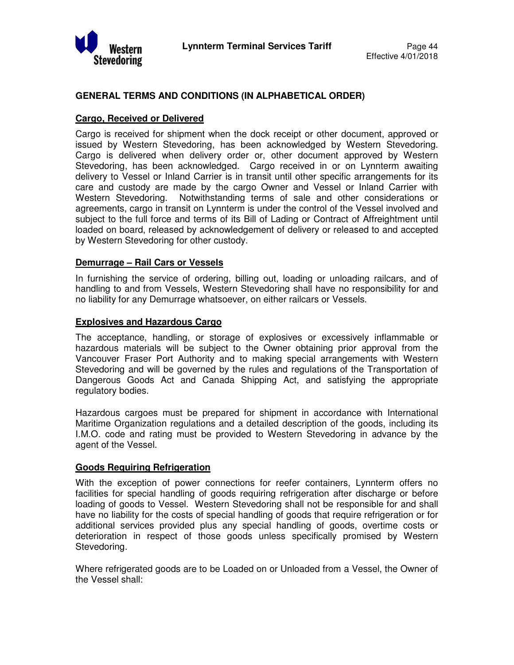

#### **GENERAL TERMS AND CONDITIONS (IN ALPHABETICAL ORDER)**

#### **Cargo, Received or Delivered**

Cargo is received for shipment when the dock receipt or other document, approved or issued by Western Stevedoring, has been acknowledged by Western Stevedoring. Cargo is delivered when delivery order or, other document approved by Western Stevedoring, has been acknowledged. Cargo received in or on Lynnterm awaiting delivery to Vessel or Inland Carrier is in transit until other specific arrangements for its care and custody are made by the cargo Owner and Vessel or Inland Carrier with Western Stevedoring. Notwithstanding terms of sale and other considerations or agreements, cargo in transit on Lynnterm is under the control of the Vessel involved and subject to the full force and terms of its Bill of Lading or Contract of Affreightment until loaded on board, released by acknowledgement of delivery or released to and accepted by Western Stevedoring for other custody.

#### **Demurrage – Rail Cars or Vessels**

In furnishing the service of ordering, billing out, loading or unloading railcars, and of handling to and from Vessels, Western Stevedoring shall have no responsibility for and no liability for any Demurrage whatsoever, on either railcars or Vessels.

#### **Explosives and Hazardous Cargo**

The acceptance, handling, or storage of explosives or excessively inflammable or hazardous materials will be subject to the Owner obtaining prior approval from the Vancouver Fraser Port Authority and to making special arrangements with Western Stevedoring and will be governed by the rules and regulations of the Transportation of Dangerous Goods Act and Canada Shipping Act, and satisfying the appropriate regulatory bodies.

Hazardous cargoes must be prepared for shipment in accordance with International Maritime Organization regulations and a detailed description of the goods, including its I.M.O. code and rating must be provided to Western Stevedoring in advance by the agent of the Vessel.

#### **Goods Requiring Refrigeration**

With the exception of power connections for reefer containers, Lynnterm offers no facilities for special handling of goods requiring refrigeration after discharge or before loading of goods to Vessel. Western Stevedoring shall not be responsible for and shall have no liability for the costs of special handling of goods that require refrigeration or for additional services provided plus any special handling of goods, overtime costs or deterioration in respect of those goods unless specifically promised by Western Stevedoring.

Where refrigerated goods are to be Loaded on or Unloaded from a Vessel, the Owner of the Vessel shall: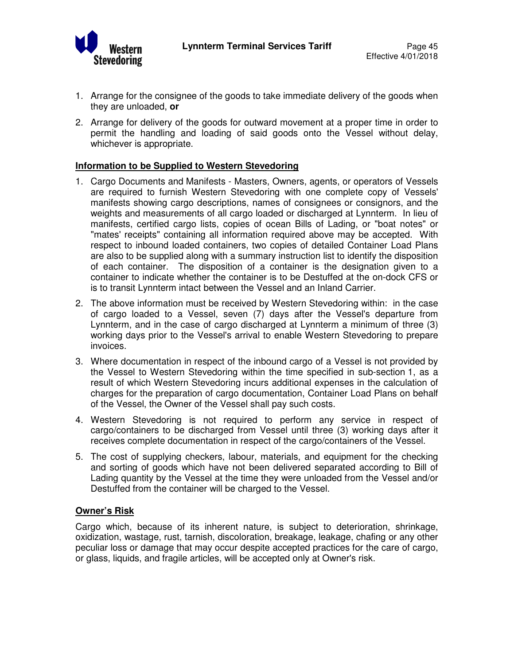

- 1. Arrange for the consignee of the goods to take immediate delivery of the goods when they are unloaded, **or**
- 2. Arrange for delivery of the goods for outward movement at a proper time in order to permit the handling and loading of said goods onto the Vessel without delay, whichever is appropriate.

#### **Information to be Supplied to Western Stevedoring**

- 1. Cargo Documents and Manifests Masters, Owners, agents, or operators of Vessels are required to furnish Western Stevedoring with one complete copy of Vessels' manifests showing cargo descriptions, names of consignees or consignors, and the weights and measurements of all cargo loaded or discharged at Lynnterm. In lieu of manifests, certified cargo lists, copies of ocean Bills of Lading, or "boat notes" or "mates' receipts" containing all information required above may be accepted. With respect to inbound loaded containers, two copies of detailed Container Load Plans are also to be supplied along with a summary instruction list to identify the disposition of each container. The disposition of a container is the designation given to a container to indicate whether the container is to be Destuffed at the on-dock CFS or is to transit Lynnterm intact between the Vessel and an Inland Carrier.
- 2. The above information must be received by Western Stevedoring within: in the case of cargo loaded to a Vessel, seven (7) days after the Vessel's departure from Lynnterm, and in the case of cargo discharged at Lynnterm a minimum of three (3) working days prior to the Vessel's arrival to enable Western Stevedoring to prepare invoices.
- 3. Where documentation in respect of the inbound cargo of a Vessel is not provided by the Vessel to Western Stevedoring within the time specified in sub-section 1, as a result of which Western Stevedoring incurs additional expenses in the calculation of charges for the preparation of cargo documentation, Container Load Plans on behalf of the Vessel, the Owner of the Vessel shall pay such costs.
- 4. Western Stevedoring is not required to perform any service in respect of cargo/containers to be discharged from Vessel until three (3) working days after it receives complete documentation in respect of the cargo/containers of the Vessel.
- 5. The cost of supplying checkers, labour, materials, and equipment for the checking and sorting of goods which have not been delivered separated according to Bill of Lading quantity by the Vessel at the time they were unloaded from the Vessel and/or Destuffed from the container will be charged to the Vessel.

#### **Owner's Risk**

Cargo which, because of its inherent nature, is subject to deterioration, shrinkage, oxidization, wastage, rust, tarnish, discoloration, breakage, leakage, chafing or any other peculiar loss or damage that may occur despite accepted practices for the care of cargo, or glass, liquids, and fragile articles, will be accepted only at Owner's risk.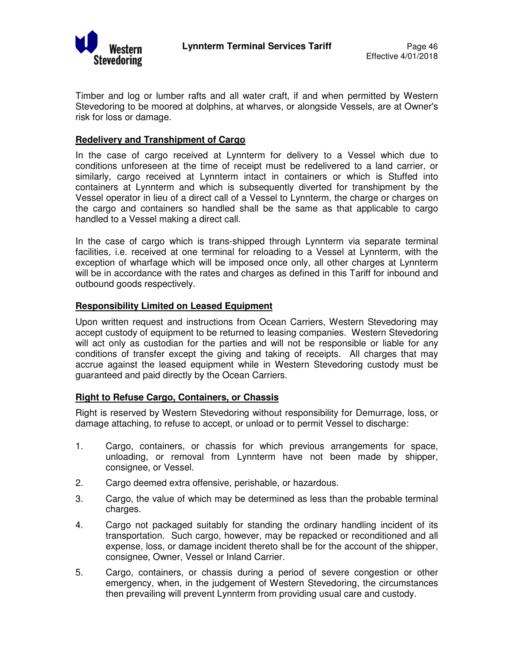

Timber and log or lumber rafts and all water craft, if and when permitted by Western Stevedoring to be moored at dolphins, at wharves, or alongside Vessels, are at Owner's risk for loss or damage.

#### **Redelivery and Transhipment of Cargo**

In the case of cargo received at Lynnterm for delivery to a Vessel which due to conditions unforeseen at the time of receipt must be redelivered to a land carrier, or similarly, cargo received at Lynnterm intact in containers or which is Stuffed into containers at Lynnterm and which is subsequently diverted for transhipment by the Vessel operator in lieu of a direct call of a Vessel to Lynnterm, the charge or charges on the cargo and containers so handled shall be the same as that applicable to cargo handled to a Vessel making a direct call.

In the case of cargo which is trans-shipped through Lynnterm via separate terminal facilities, i.e. received at one terminal for reloading to a Vessel at Lynnterm, with the exception of wharfage which will be imposed once only, all other charges at Lynnterm will be in accordance with the rates and charges as defined in this Tariff for inbound and outbound goods respectively.

#### **Responsibility Limited on Leased Equipment**

Upon written request and instructions from Ocean Carriers, Western Stevedoring may accept custody of equipment to be returned to leasing companies. Western Stevedoring will act only as custodian for the parties and will not be responsible or liable for any conditions of transfer except the giving and taking of receipts. All charges that may accrue against the leased equipment while in Western Stevedoring custody must be guaranteed and paid directly by the Ocean Carriers.

#### **Right to Refuse Cargo, Containers, or Chassis**

Right is reserved by Western Stevedoring without responsibility for Demurrage, loss, or damage attaching, to refuse to accept, or unload or to permit Vessel to discharge:

- 1. Cargo, containers, or chassis for which previous arrangements for space, unloading, or removal from Lynnterm have not been made by shipper, consignee, or Vessel.
- 2. Cargo deemed extra offensive, perishable, or hazardous.
- 3. Cargo, the value of which may be determined as less than the probable terminal charges.
- 4. Cargo not packaged suitably for standing the ordinary handling incident of its transportation. Such cargo, however, may be repacked or reconditioned and all expense, loss, or damage incident thereto shall be for the account of the shipper, consignee, Owner, Vessel or Inland Carrier.
- 5. Cargo, containers, or chassis during a period of severe congestion or other emergency, when, in the judgement of Western Stevedoring, the circumstances then prevailing will prevent Lynnterm from providing usual care and custody.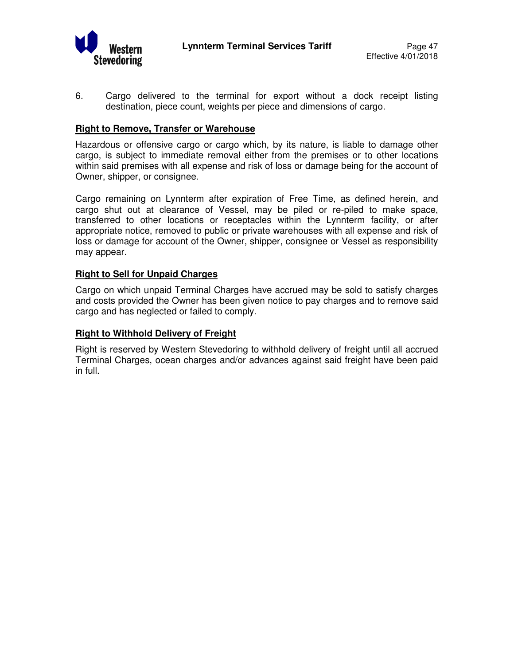

6. Cargo delivered to the terminal for export without a dock receipt listing destination, piece count, weights per piece and dimensions of cargo.

#### **Right to Remove, Transfer or Warehouse**

Hazardous or offensive cargo or cargo which, by its nature, is liable to damage other cargo, is subject to immediate removal either from the premises or to other locations within said premises with all expense and risk of loss or damage being for the account of Owner, shipper, or consignee.

Cargo remaining on Lynnterm after expiration of Free Time, as defined herein, and cargo shut out at clearance of Vessel, may be piled or re-piled to make space, transferred to other locations or receptacles within the Lynnterm facility, or after appropriate notice, removed to public or private warehouses with all expense and risk of loss or damage for account of the Owner, shipper, consignee or Vessel as responsibility may appear.

#### **Right to Sell for Unpaid Charges**

Cargo on which unpaid Terminal Charges have accrued may be sold to satisfy charges and costs provided the Owner has been given notice to pay charges and to remove said cargo and has neglected or failed to comply.

#### **Right to Withhold Delivery of Freight**

Right is reserved by Western Stevedoring to withhold delivery of freight until all accrued Terminal Charges, ocean charges and/or advances against said freight have been paid in full.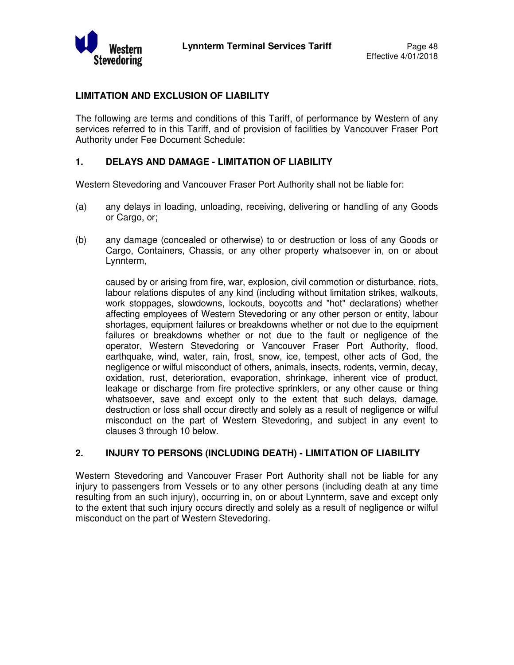

#### **LIMITATION AND EXCLUSION OF LIABILITY**

The following are terms and conditions of this Tariff, of performance by Western of any services referred to in this Tariff, and of provision of facilities by Vancouver Fraser Port Authority under Fee Document Schedule:

#### **1. DELAYS AND DAMAGE - LIMITATION OF LIABILITY**

Western Stevedoring and Vancouver Fraser Port Authority shall not be liable for:

- (a) any delays in loading, unloading, receiving, delivering or handling of any Goods or Cargo, or;
- (b) any damage (concealed or otherwise) to or destruction or loss of any Goods or Cargo, Containers, Chassis, or any other property whatsoever in, on or about Lynnterm,

caused by or arising from fire, war, explosion, civil commotion or disturbance, riots, labour relations disputes of any kind (including without limitation strikes, walkouts, work stoppages, slowdowns, lockouts, boycotts and "hot" declarations) whether affecting employees of Western Stevedoring or any other person or entity, labour shortages, equipment failures or breakdowns whether or not due to the equipment failures or breakdowns whether or not due to the fault or negligence of the operator, Western Stevedoring or Vancouver Fraser Port Authority, flood, earthquake, wind, water, rain, frost, snow, ice, tempest, other acts of God, the negligence or wilful misconduct of others, animals, insects, rodents, vermin, decay, oxidation, rust, deterioration, evaporation, shrinkage, inherent vice of product, leakage or discharge from fire protective sprinklers, or any other cause or thing whatsoever, save and except only to the extent that such delays, damage, destruction or loss shall occur directly and solely as a result of negligence or wilful misconduct on the part of Western Stevedoring, and subject in any event to clauses 3 through 10 below.

#### **2. INJURY TO PERSONS (INCLUDING DEATH) - LIMITATION OF LIABILITY**

Western Stevedoring and Vancouver Fraser Port Authority shall not be liable for any injury to passengers from Vessels or to any other persons (including death at any time resulting from an such injury), occurring in, on or about Lynnterm, save and except only to the extent that such injury occurs directly and solely as a result of negligence or wilful misconduct on the part of Western Stevedoring.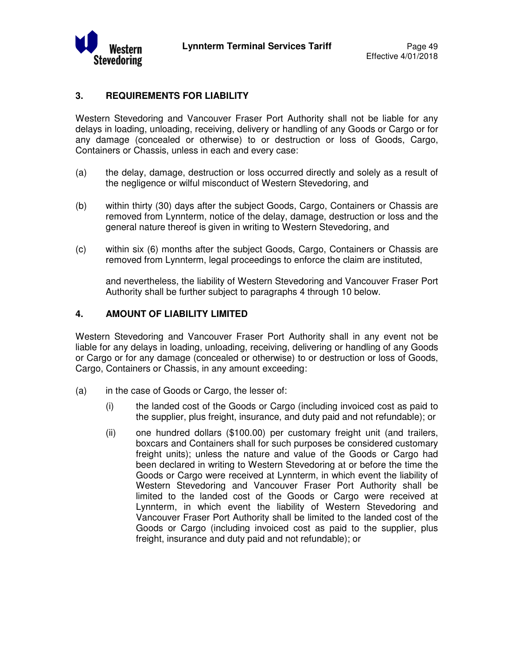

#### **3. REQUIREMENTS FOR LIABILITY**

Western Stevedoring and Vancouver Fraser Port Authority shall not be liable for any delays in loading, unloading, receiving, delivery or handling of any Goods or Cargo or for any damage (concealed or otherwise) to or destruction or loss of Goods, Cargo, Containers or Chassis, unless in each and every case:

- (a) the delay, damage, destruction or loss occurred directly and solely as a result of the negligence or wilful misconduct of Western Stevedoring, and
- (b) within thirty (30) days after the subject Goods, Cargo, Containers or Chassis are removed from Lynnterm, notice of the delay, damage, destruction or loss and the general nature thereof is given in writing to Western Stevedoring, and
- (c) within six (6) months after the subject Goods, Cargo, Containers or Chassis are removed from Lynnterm, legal proceedings to enforce the claim are instituted,

and nevertheless, the liability of Western Stevedoring and Vancouver Fraser Port Authority shall be further subject to paragraphs 4 through 10 below.

#### **4. AMOUNT OF LIABILITY LIMITED**

Western Stevedoring and Vancouver Fraser Port Authority shall in any event not be liable for any delays in loading, unloading, receiving, delivering or handling of any Goods or Cargo or for any damage (concealed or otherwise) to or destruction or loss of Goods, Cargo, Containers or Chassis, in any amount exceeding:

- (a) in the case of Goods or Cargo, the lesser of:
	- (i) the landed cost of the Goods or Cargo (including invoiced cost as paid to the supplier, plus freight, insurance, and duty paid and not refundable); or
	- (ii) one hundred dollars (\$100.00) per customary freight unit (and trailers, boxcars and Containers shall for such purposes be considered customary freight units); unless the nature and value of the Goods or Cargo had been declared in writing to Western Stevedoring at or before the time the Goods or Cargo were received at Lynnterm, in which event the liability of Western Stevedoring and Vancouver Fraser Port Authority shall be limited to the landed cost of the Goods or Cargo were received at Lynnterm, in which event the liability of Western Stevedoring and Vancouver Fraser Port Authority shall be limited to the landed cost of the Goods or Cargo (including invoiced cost as paid to the supplier, plus freight, insurance and duty paid and not refundable); or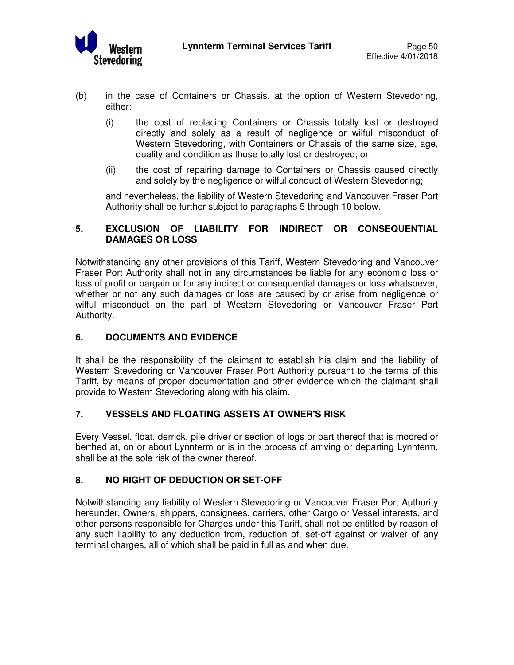

- (b) in the case of Containers or Chassis, at the option of Western Stevedoring, either:
	- (i) the cost of replacing Containers or Chassis totally lost or destroyed directly and solely as a result of negligence or wilful misconduct of Western Stevedoring, with Containers or Chassis of the same size, age, quality and condition as those totally lost or destroyed; or
	- (ii) the cost of repairing damage to Containers or Chassis caused directly and solely by the negligence or wilful conduct of Western Stevedoring;

 and nevertheless, the liability of Western Stevedoring and Vancouver Fraser Port Authority shall be further subject to paragraphs 5 through 10 below.

# **5. EXCLUSION OF LIABILITY FOR INDIRECT OR CONSEQUENTIAL DAMAGES OR LOSS**

Notwithstanding any other provisions of this Tariff, Western Stevedoring and Vancouver Fraser Port Authority shall not in any circumstances be liable for any economic loss or loss of profit or bargain or for any indirect or consequential damages or loss whatsoever, whether or not any such damages or loss are caused by or arise from negligence or wilful misconduct on the part of Western Stevedoring or Vancouver Fraser Port Authority.

# **6. DOCUMENTS AND EVIDENCE**

It shall be the responsibility of the claimant to establish his claim and the liability of Western Stevedoring or Vancouver Fraser Port Authority pursuant to the terms of this Tariff, by means of proper documentation and other evidence which the claimant shall provide to Western Stevedoring along with his claim.

#### **7. VESSELS AND FLOATING ASSETS AT OWNER'S RISK**

Every Vessel, float, derrick, pile driver or section of logs or part thereof that is moored or berthed at, on or about Lynnterm or is in the process of arriving or departing Lynnterm, shall be at the sole risk of the owner thereof.

# **8. NO RIGHT OF DEDUCTION OR SET-OFF**

Notwithstanding any liability of Western Stevedoring or Vancouver Fraser Port Authority hereunder, Owners, shippers, consignees, carriers, other Cargo or Vessel interests, and other persons responsible for Charges under this Tariff, shall not be entitled by reason of any such liability to any deduction from, reduction of, set-off against or waiver of any terminal charges, all of which shall be paid in full as and when due.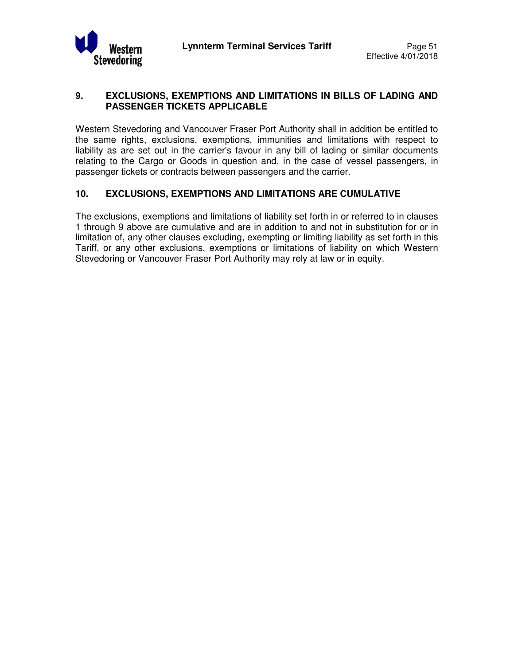

# **9. EXCLUSIONS, EXEMPTIONS AND LIMITATIONS IN BILLS OF LADING AND PASSENGER TICKETS APPLICABLE**

Western Stevedoring and Vancouver Fraser Port Authority shall in addition be entitled to the same rights, exclusions, exemptions, immunities and limitations with respect to liability as are set out in the carrier's favour in any bill of lading or similar documents relating to the Cargo or Goods in question and, in the case of vessel passengers, in passenger tickets or contracts between passengers and the carrier.

# **10. EXCLUSIONS, EXEMPTIONS AND LIMITATIONS ARE CUMULATIVE**

The exclusions, exemptions and limitations of liability set forth in or referred to in clauses 1 through 9 above are cumulative and are in addition to and not in substitution for or in limitation of, any other clauses excluding, exempting or limiting liability as set forth in this Tariff, or any other exclusions, exemptions or limitations of liability on which Western Stevedoring or Vancouver Fraser Port Authority may rely at law or in equity.